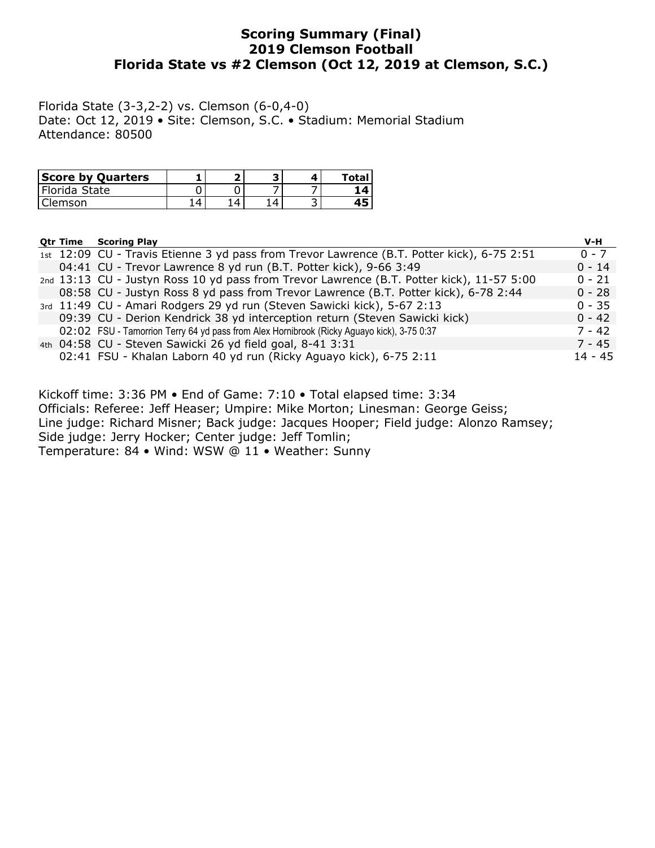# Scoring Summary (Final) 2019 Clemson Football Florida State vs #2 Clemson (Oct 12, 2019 at Clemson, S.C.)

Florida State (3-3,2-2) vs. Clemson (6-0,4-0) Date: Oct 12, 2019 • Site: Clemson, S.C. • Stadium: Memorial Stadium Attendance: 80500

| <b>Score by Quarters</b> |  |  | Total                   |
|--------------------------|--|--|-------------------------|
| Florida State            |  |  | $\overline{\mathbf{A}}$ |
| lemson                   |  |  |                         |

| <b>Qtr Time</b> | <b>Scoring Play</b>                                                                        | V-H       |
|-----------------|--------------------------------------------------------------------------------------------|-----------|
|                 | 1st 12:09 CU - Travis Etienne 3 yd pass from Trevor Lawrence (B.T. Potter kick), 6-75 2:51 | $0 - 7$   |
|                 | 04:41 CU - Trevor Lawrence 8 yd run (B.T. Potter kick), 9-66 3:49                          | $0 - 14$  |
|                 | 2nd 13:13 CU - Justyn Ross 10 yd pass from Trevor Lawrence (B.T. Potter kick), 11-57 5:00  | $0 - 21$  |
|                 | 08:58 CU - Justyn Ross 8 yd pass from Trevor Lawrence (B.T. Potter kick), 6-78 2:44        | $0 - 28$  |
|                 | 3rd 11:49 CU - Amari Rodgers 29 yd run (Steven Sawicki kick), 5-67 2:13                    | $0 - 35$  |
|                 | 09:39 CU - Derion Kendrick 38 yd interception return (Steven Sawicki kick)                 | $0 - 42$  |
|                 | 02:02 FSU - Tamorrion Terry 64 yd pass from Alex Hornibrook (Ricky Aguayo kick), 3-75 0:37 | $7 - 42$  |
|                 | 4th 04:58 CU - Steven Sawicki 26 yd field goal, 8-41 3:31                                  | $7 - 45$  |
|                 | 02:41 FSU - Khalan Laborn 40 yd run (Ricky Aguayo kick), 6-75 2:11                         | $14 - 45$ |

Kickoff time: 3:36 PM • End of Game: 7:10 • Total elapsed time: 3:34 Officials: Referee: Jeff Heaser; Umpire: Mike Morton; Linesman: George Geiss; Line judge: Richard Misner; Back judge: Jacques Hooper; Field judge: Alonzo Ramsey; Side judge: Jerry Hocker; Center judge: Jeff Tomlin; Temperature: 84 • Wind: WSW @ 11 • Weather: Sunny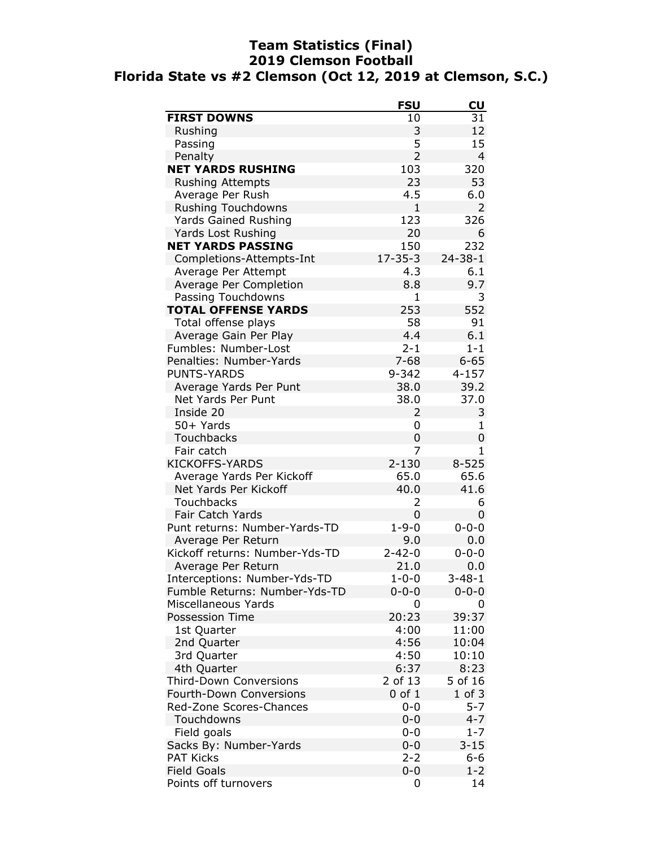# Team Statistics (Final) 2019 Clemson Football Florida State vs #2 Clemson (Oct 12, 2019 at Clemson, S.C.)

|                                | <b>FSU</b>     | <b>CU</b>      |
|--------------------------------|----------------|----------------|
| <b>FIRST DOWNS</b>             | 10             | 31             |
| Rushing                        | 3              | 12             |
| Passing                        | 5              | 15             |
| Penalty                        | $\overline{2}$ | $\overline{4}$ |
| <b>NET YARDS RUSHING</b>       | 103            | 320            |
| <b>Rushing Attempts</b>        | 23             | 53             |
| Average Per Rush               | 4.5            | 6.0            |
| <b>Rushing Touchdowns</b>      | $\overline{1}$ | $\overline{2}$ |
| <b>Yards Gained Rushing</b>    | 123            | 326            |
| Yards Lost Rushing             | 20             | 6              |
| <b>NET YARDS PASSING</b>       | 150            | 232            |
| Completions-Attempts-Int       | $17 - 35 - 3$  | $24 - 38 - 1$  |
| Average Per Attempt            | 4.3            | 6.1            |
| Average Per Completion         | 8.8            | 9.7            |
| Passing Touchdowns             | 1              | 3              |
| <b>TOTAL OFFENSE YARDS</b>     | 253            | 552            |
| Total offense plays            | 58             | 91             |
| Average Gain Per Play          | 4.4            | 6.1            |
| Fumbles: Number-Lost           | $2 - 1$        | $1 - 1$        |
| Penalties: Number-Yards        | $7 - 68$       | $6 - 65$       |
| <b>PUNTS-YARDS</b>             | $9 - 342$      | $4 - 157$      |
| Average Yards Per Punt         | 38.0           | 39.2           |
| Net Yards Per Punt             | 38.0           | 37.0           |
| Inside 20                      | 2              | 3              |
| 50+ Yards                      | 0              | 1              |
| Touchbacks                     | 0              | 0              |
| Fair catch                     | 7              | 1              |
| <b>KICKOFFS-YARDS</b>          | $2 - 130$      | $8 - 525$      |
| Average Yards Per Kickoff      | 65.0           | 65.6           |
| Net Yards Per Kickoff          | 40.0           | 41.6           |
| <b>Touchbacks</b>              | 2              | 6              |
| Fair Catch Yards               | 0              | 0              |
| Punt returns: Number-Yards-TD  | $1 - 9 - 0$    | $0 - 0 - 0$    |
| Average Per Return             | 9.0            | 0.0            |
| Kickoff returns: Number-Yds-TD | $2 - 42 - 0$   | $0 - 0 - 0$    |
| Average Per Return             | 21.0           | 0.0            |
| Interceptions: Number-Yds-TD   | $1 - 0 - 0$    | $3 - 48 - 1$   |
| Fumble Returns: Number-Yds-TD  | $0 - 0 - 0$    | $0 - 0 - 0$    |
| Miscellaneous Yards            | 0              | 0              |
| Possession Time                | 20:23          | 39:37          |
| 1st Quarter                    | 4:00           | 11:00          |
| 2nd Quarter                    | 4:56           | 10:04          |
| 3rd Quarter                    | 4:50           | 10:10          |
| 4th Quarter                    | 6:37           | 8:23           |
| <b>Third-Down Conversions</b>  | 2 of 13        | 5 of 16        |
| Fourth-Down Conversions        | $0$ of $1$     | $1$ of $3$     |
| Red-Zone Scores-Chances        | $0 - 0$        | $5 - 7$        |
| Touchdowns                     | $0 - 0$        | $4 - 7$        |
| Field goals                    | $0 - 0$        | $1 - 7$        |
| Sacks By: Number-Yards         | $0 - 0$        | $3 - 15$       |
| <b>PAT Kicks</b>               | $2 - 2$        | $6 - 6$        |
| <b>Field Goals</b>             | $0 - 0$        | $1 - 2$        |
| Points off turnovers           | 0              | 14             |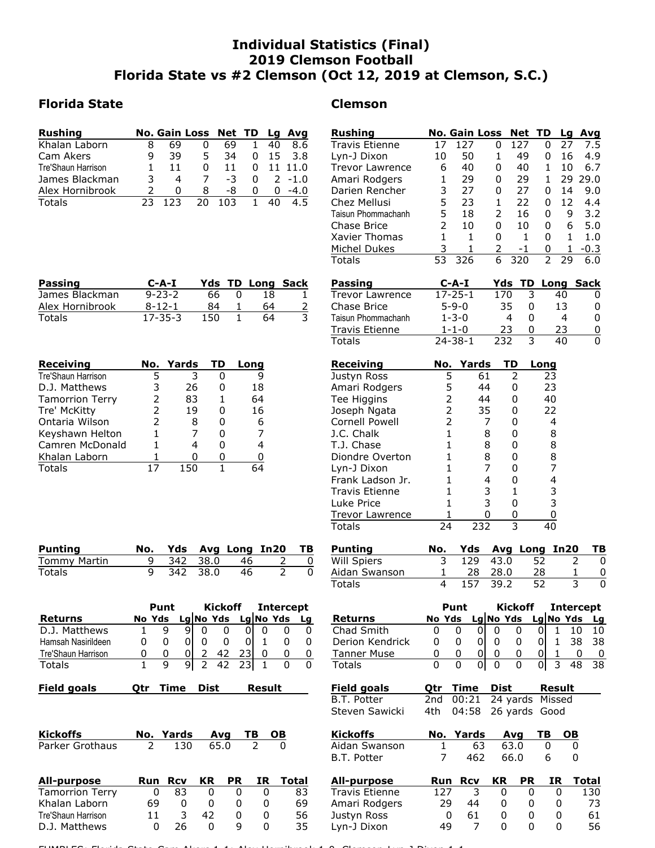# Individual Statistics (Final) 2019 Clemson Football Florida State vs #2 Clemson (Oct 12, 2019 at Clemson, S.C.)

# **Florida State**

| <b>Rushing</b>            |   |          | No. Gain Loss Net TD Lg Avg |     |          |          |           |
|---------------------------|---|----------|-----------------------------|-----|----------|----------|-----------|
| Khalan Laborn             |   | 69       |                             | 69  |          | 40       | 8.6       |
| Cam Akers                 |   | 39       | 5                           | 34  | 0        | -15      | 3.8       |
| <b>Tre'Shaun Harrison</b> |   | 11       | 0                           | 11  | 0        |          | 11 11.0   |
| James Blackman            |   | 4        |                             | -3  | $\Omega$ |          | $2 - 1.0$ |
| Alex Hornibrook           | 2 | $\Omega$ | 8                           | -8  | 0        | $\Omega$ | $-4.0$    |
| <b>Totals</b>             |   | 1 フ マ    | 20.                         | 103 |          |          |           |

| <b>Rushing</b>                       |                   | <b>No. Gain Loss</b> |                | Net TD         |                   | Lg<br>Avq                                                       |
|--------------------------------------|-------------------|----------------------|----------------|----------------|-------------------|-----------------------------------------------------------------|
| <b>Travis Etienne</b>                | 17                | 127                  | 0              | 127            | 0                 | 7.5<br>27                                                       |
| Lyn-J Dixon                          | 10                | 50                   | $\mathbf{1}$   | 49             | 0                 | 4.9<br>16                                                       |
| <b>Trevor Lawrence</b>               | 6                 | 40                   | 0              | 40             | $\mathbf{1}$      | 6.7<br>10                                                       |
| Amari Rodgers                        | 1                 | 29                   | 0              | 29             | 1                 | 29 29.0                                                         |
| Darien Rencher                       | 3                 | 27                   | 0              | 27             | 0                 | 9.0<br>14                                                       |
| Chez Mellusi                         | 5                 | 23                   | 1              | 22             | 0                 | 12<br>4.4                                                       |
| Taisun Phommachanh                   | 5                 | 18                   | $\overline{2}$ | 16             | 0                 | 3.2<br>9                                                        |
| Chase Brice                          | $\overline{2}$    | 10                   | 0              | 10             | 0                 | 6<br>5.0                                                        |
| <b>Xavier Thomas</b>                 | $\mathbf{1}$      | 1                    | 0              | 1              | 0                 | 1<br>1.0                                                        |
| Michel Dukes                         | 3                 | 1                    | 2              | -1             | 0                 | 1<br>$-0.3$                                                     |
| Totals                               | 53                | 326                  | 6              | 320            | $\overline{2}$    | 29<br>6.0                                                       |
| <b>Passing</b>                       |                   | $C - A - I$          | Yds            |                |                   | <b>TD Long Sack</b>                                             |
| <b>Trevor Lawrence</b>               |                   | $17 - 25 - 1$        | 170            | 3              |                   | 40<br>0                                                         |
| Chase Brice                          |                   | $5 - 9 - 0$          |                | 35<br>0        |                   | 13<br>0                                                         |
| Taisun Phommachanh                   |                   | $1 - 3 - 0$          |                | 4<br>0         |                   | $\overline{4}$<br>0                                             |
| Travis Etienne                       |                   | $1 - 1 - 0$          |                | 23<br>0        |                   | 23<br>0                                                         |
| <b>Totals</b>                        |                   | $24 - 38 - 1$        | 232            | 3              |                   | 40<br>0                                                         |
| Receiving                            | No.               | Yards                |                | TD             | Long              |                                                                 |
| Justyn Ross                          |                   | 5                    | 61             | 2              | 23                |                                                                 |
| Amari Rodgers                        |                   | 5                    | 44             | 0              | 23                |                                                                 |
| Tee Higgins                          |                   |                      | 44             | 0              | 40                |                                                                 |
| Joseph Ngata                         |                   | 2<br>2               | 35             | 0              | 22                |                                                                 |
| Cornell Powell                       |                   | $\overline{2}$       | 7              | 0              | 4                 |                                                                 |
| J.C. Chalk                           |                   | $\mathbf 1$          | 8              | $\mathbf 0$    | 8                 |                                                                 |
| T.J. Chase                           |                   | $\mathbf{1}$         | 8              | 0              | 8                 |                                                                 |
| Diondre Overton                      |                   | $\mathbf{1}$         | 8              | 0              | 8                 |                                                                 |
|                                      |                   | $\mathbf{1}$         | 7              | 0              | 7                 |                                                                 |
| Lyn-J Dixon<br>Frank Ladson Jr.      |                   | $\mathbf{1}$         | 4              | 0              | 4                 |                                                                 |
| <b>Travis Etienne</b>                |                   | 1                    | 3              | 1              |                   |                                                                 |
| Luke Price                           |                   | $\mathbf{1}$         | 3              | 0              | 3<br>3            |                                                                 |
|                                      |                   | 1                    | 0              |                | 0                 |                                                                 |
| <b>Trevor Lawrence</b><br>Totals     | 24                |                      | 232            | 0<br>3         | 40                |                                                                 |
|                                      | No.               | Yds                  |                |                |                   | TB                                                              |
| <b>Punting</b><br>Will Spiers        | 3                 | 129                  | 43.0           | Avg Long In20  | 52                | 2<br>0                                                          |
|                                      |                   |                      |                |                |                   |                                                                 |
| Aidan Swanson<br>Totals              | $\mathbf{1}$<br>4 | <u>28</u><br>157     | 28.0<br>39.2   |                | <u>28</u><br>52   | $\mathbf{1}$<br>$\underline{0}$<br>$\overline{\mathsf{3}}$<br>0 |
|                                      |                   | Punt                 |                | <b>Kickoff</b> |                   |                                                                 |
|                                      |                   |                      |                |                |                   | <b>Intercept</b>                                                |
| <b>Returns</b>                       | No Yds            |                      | Lg No Yds      |                |                   | $Lg $ No Yds                                                    |
| Chad Smith                           | 0                 | 0                    | 0<br>0         | 0              | 1<br>0            | 10                                                              |
| Derion Kendrick                      | 0                 | 0                    | 0<br>0         | 0              | $\mathbf 1$<br>0  | 38                                                              |
| <b>Tanner Muse</b>                   | 0                 | 0                    | 0<br>0         | 0              | $\mathbf{1}$<br>0 | 0                                                               |
| Totals                               | 0                 | 0                    | 0 <br>0        | 0              | 3<br>0            | 48                                                              |
| <b>Field goals</b>                   | Qtr               | <b>Time</b>          | <b>Dist</b>    |                | <b>Result</b>     |                                                                 |
|                                      | 2nd               | 00:21                |                | 24 yards       | Missed            |                                                                 |
| <b>B.T. Potter</b><br>Steven Sawicki | 4th               | 04:58                |                | 26 yards       | Good              |                                                                 |
|                                      |                   |                      |                |                | TB                | <b>OB</b>                                                       |
| <b>Kickoffs</b>                      | No.               | Yards                |                | Avg            |                   |                                                                 |
| Aidan Swanson<br><b>B.T. Potter</b>  | 1<br>7            | 63<br>462            |                | 63.0<br>66.0   | 0<br>6            | 0<br>0                                                          |
|                                      |                   |                      |                |                |                   |                                                                 |
| <b>All-purpose</b>                   | Run               | <b>Rcv</b>           | KR             | <b>PR</b>      | IR                | <b>Total</b>                                                    |
| Travis Etienne                       | 127               | 3                    | 0              | 0              |                   | 130<br>0                                                        |
| Amari Rodgers<br>Justyn Ross         | 29                | 44<br>61<br>0        | 0<br>0         | 0<br>0         |                   | Lg<br>10<br>38<br>0<br>38<br>73<br>0<br>61<br>0                 |

| Passing         | $C-A-I$       |      |    | <b>Yds TD Long Sack</b> |
|-----------------|---------------|------|----|-------------------------|
| James Blackman  | $9 - 23 - 2$  | 66   | 18 |                         |
| Alex Hornibrook | $8 - 12 - 1$  | 84   | 64 |                         |
| Totals          | $17 - 35 - 3$ | 150. | 64 |                         |

| Receiving              | No.           | Yards | TD | Lona |
|------------------------|---------------|-------|----|------|
| Tre'Shaun Harrison     |               |       | 0  | 9    |
| D.J. Matthews          | 3             | 26    | 0  | 18   |
| <b>Tamorrion Terry</b> | 2             | 83    | 1  | 64   |
| Tre' McKitty           | 2             | 19    | 0  | 16   |
| Ontaria Wilson         | $\mathcal{P}$ | 8     | 0  | 6    |
| Keyshawn Helton        |               |       | 0  | 7    |
| Camren McDonald        |               |       | 0  | 4    |
| Khalan Laborn          |               |       |    | 0    |
| Totals                 |               | 150   |    | 54   |

| Punting      |            |               | No. Yds Avg Long In20 TB |  |
|--------------|------------|---------------|--------------------------|--|
| Tommy Martin |            | 9 342 38.0 46 |                          |  |
| Totals       | 9 342 38.0 | - 46          |                          |  |

|                    | Punt |        |  | Kickoff   |        | Intercept |           |  |
|--------------------|------|--------|--|-----------|--------|-----------|-----------|--|
| <b>Returns</b>     |      | No Yds |  | Lg No Yds |        |           | Lg No Yds |  |
| D.J. Matthews      |      |        |  |           |        |           |           |  |
| Hamsah Nasirildeen | 0    | O      |  |           |        |           |           |  |
| Tre'Shaun Harrison | O    | O      |  |           |        |           |           |  |
| Totals             |      | q      |  |           | 42 231 |           |           |  |

| <b>Field goals</b> | Otr Time Dist | Result | <b>Field goals</b> | <b>Qtr Time Dist</b> |  | Result |  |
|--------------------|---------------|--------|--------------------|----------------------|--|--------|--|
|                    |               |        |                    |                      |  |        |  |

| <b>Kickoffs</b> |               | No. Yards Avg |        |        | TB.    | - OB            |  |
|-----------------|---------------|---------------|--------|--------|--------|-----------------|--|
| Parker Grothaus | $\mathcal{L}$ | 130           | 65.0   |        |        |                 |  |
| All-purpose     |               | Run Rcv       | KR PR  |        |        | <b>IR</b> Total |  |
|                 | $\sim$        |               | $\sim$ | $\sim$ | $\sim$ |                 |  |

| All-pul pose           | <b>Rull</b> | RLV |    | NN FN | 1N. | ı vlai |
|------------------------|-------------|-----|----|-------|-----|--------|
| <b>Tamorrion Terry</b> |             | 83  |    |       |     | 83     |
| Khalan Laborn          | 69          |     |    |       |     | 69     |
| Tre'Shaun Harrison     | 11          |     | 47 |       |     | 56     |
| D.J. Matthews          |             | 26  |    |       |     | 35     |
|                        |             |     |    |       |     |        |

FUMBLES: Florida State-Cam Akers 1-1; Alex Hornibrook 1-0. Clemson-Lyn-J Dixon 1-1.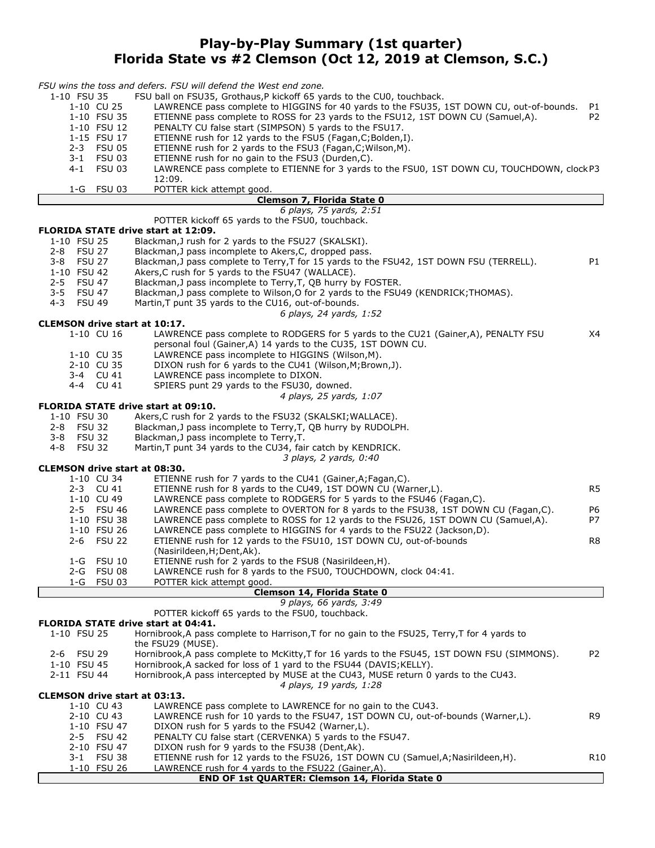# Play-by-Play Summary (1st quarter) Florida State vs #2 Clemson (Oct 12, 2019 at Clemson, S.C.)

| 1-10 FSU 35<br>FSU ball on FSU35, Grothaus, P kickoff 65 yards to the CU0, touchback.                                                                                |                |
|----------------------------------------------------------------------------------------------------------------------------------------------------------------------|----------------|
|                                                                                                                                                                      |                |
| 1-10 CU 25<br>LAWRENCE pass complete to HIGGINS for 40 yards to the FSU35, 1ST DOWN CU, out-of-bounds.                                                               | P1             |
| 1-10 FSU 35<br>ETIENNE pass complete to ROSS for 23 yards to the FSU12, 1ST DOWN CU (Samuel,A).                                                                      | P <sub>2</sub> |
| 1-10 FSU 12<br>PENALTY CU false start (SIMPSON) 5 yards to the FSU17.<br>1-15 FSU 17                                                                                 |                |
| ETIENNE rush for 12 yards to the FSU5 (Fagan, C; Bolden, I).<br>2-3 FSU 05<br>ETIENNE rush for 2 yards to the FSU3 (Fagan, C; Wilson, M).                            |                |
| FSU 03<br>ETIENNE rush for no gain to the FSU3 (Durden,C).<br>3-1                                                                                                    |                |
| $4 - 1$<br><b>FSU 03</b><br>LAWRENCE pass complete to ETIENNE for 3 yards to the FSU0, 1ST DOWN CU, TOUCHDOWN, clock P3                                              |                |
| 12:09.                                                                                                                                                               |                |
| $1-G$<br><b>FSU 03</b><br>POTTER kick attempt good.                                                                                                                  |                |
| Clemson 7, Florida State 0                                                                                                                                           |                |
| 6 plays, 75 yards, 2:51                                                                                                                                              |                |
| POTTER kickoff 65 yards to the FSU0, touchback.<br><b>FLORIDA STATE drive start at 12:09.</b>                                                                        |                |
| 1-10 FSU 25<br>Blackman, J rush for 2 yards to the FSU27 (SKALSKI).                                                                                                  |                |
| 2-8 FSU 27<br>Blackman, J pass incomplete to Akers, C, dropped pass.                                                                                                 |                |
| 3-8 FSU 27<br>Blackman, J pass complete to Terry, T for 15 yards to the FSU42, 1ST DOWN FSU (TERRELL).                                                               | P1             |
| 1-10 FSU 42<br>Akers, C rush for 5 yards to the FSU47 (WALLACE).                                                                                                     |                |
| <b>FSU 47</b><br>$2 - 5$<br>Blackman, J pass incomplete to Terry, T, QB hurry by FOSTER.                                                                             |                |
| 3-5 FSU 47<br>Blackman, J pass complete to Wilson, O for 2 yards to the FSU49 (KENDRICK; THOMAS).                                                                    |                |
| $4 - 3$<br><b>FSU 49</b><br>Martin, T punt 35 yards to the CU16, out-of-bounds.                                                                                      |                |
| 6 plays, 24 yards, 1:52                                                                                                                                              |                |
| <b>CLEMSON drive start at 10:17.</b>                                                                                                                                 |                |
| 1-10 CU 16<br>LAWRENCE pass complete to RODGERS for 5 yards to the CU21 (Gainer, A), PENALTY FSU                                                                     | X4             |
| personal foul (Gainer, A) 14 yards to the CU35, 1ST DOWN CU.                                                                                                         |                |
| LAWRENCE pass incomplete to HIGGINS (Wilson, M).<br>1-10 CU 35                                                                                                       |                |
| 2-10 CU 35<br>DIXON rush for 6 yards to the CU41 (Wilson, M; Brown, J).                                                                                              |                |
| LAWRENCE pass incomplete to DIXON.<br>3-4 CU 41                                                                                                                      |                |
| 4-4 CU 41<br>SPIERS punt 29 yards to the FSU30, downed.                                                                                                              |                |
| 4 plays, 25 yards, 1:07                                                                                                                                              |                |
| <b>FLORIDA STATE drive start at 09:10.</b><br>1-10 FSU 30                                                                                                            |                |
| Akers, C rush for 2 yards to the FSU32 (SKALSKI; WALLACE).<br>2-8 FSU 32<br>Blackman, J pass incomplete to Terry, T, QB hurry by RUDOLPH.                            |                |
| 3-8 FSU 32<br>Blackman, J pass incomplete to Terry, T.                                                                                                               |                |
| <b>FSU 32</b><br>Martin, T punt 34 yards to the CU34, fair catch by KENDRICK.<br>4-8                                                                                 |                |
| 3 plays, 2 yards, 0:40                                                                                                                                               |                |
| <b>CLEMSON drive start at 08:30.</b>                                                                                                                                 |                |
| 1-10 CU 34<br>ETIENNE rush for 7 yards to the CU41 (Gainer, A; Fagan, C).                                                                                            |                |
| 2-3 CU 41<br>ETIENNE rush for 8 yards to the CU49, 1ST DOWN CU (Warner,L).                                                                                           | R5             |
| 1-10 CU 49<br>LAWRENCE pass complete to RODGERS for 5 yards to the FSU46 (Fagan, C).                                                                                 |                |
| LAWRENCE pass complete to OVERTON for 8 yards to the FSU38, 1ST DOWN CU (Fagan,C).<br>2-5 FSU 46                                                                     | P6             |
| 1-10 FSU 38<br>LAWRENCE pass complete to ROSS for 12 yards to the FSU26, 1ST DOWN CU (Samuel,A).                                                                     | P7             |
| 1-10 FSU 26<br>LAWRENCE pass complete to HIGGINS for 4 yards to the FSU22 (Jackson, D).                                                                              |                |
| 2-6 FSU 22<br>ETIENNE rush for 12 yards to the FSU10, 1ST DOWN CU, out-of-bounds                                                                                     | R8             |
| (Nasirildeen, H; Dent, Ak).                                                                                                                                          |                |
| 1-G FSU 10<br>ETIENNE rush for 2 yards to the FSU8 (Nasirildeen, H).                                                                                                 |                |
| 2-G FSU 08<br>LAWRENCE rush for 8 yards to the FSU0, TOUCHDOWN, clock 04:41.                                                                                         |                |
| 1-G FSU 03<br>POTTER kick attempt good.                                                                                                                              |                |
| Clemson 14, Florida State 0<br>9 plays, 66 yards, 3:49                                                                                                               |                |
| POTTER kickoff 65 yards to the FSU0, touchback.                                                                                                                      |                |
| FLORIDA STATE drive start at 04:41.                                                                                                                                  |                |
| Hornibrook, A pass complete to Harrison, T for no gain to the FSU25, Terry, T for 4 yards to<br>1-10 FSU 25                                                          |                |
| the FSU29 (MUSE).                                                                                                                                                    |                |
| Hornibrook, A pass complete to McKitty, T for 16 yards to the FSU45, 1ST DOWN FSU (SIMMONS).<br>2-6 FSU 29                                                           | P <sub>2</sub> |
| Hornibrook, A sacked for loss of 1 yard to the FSU44 (DAVIS; KELLY).<br>1-10 FSU 45                                                                                  |                |
| Hornibrook, A pass intercepted by MUSE at the CU43, MUSE return 0 yards to the CU43.<br>2-11 FSU 44                                                                  |                |
| 4 plays, 19 yards, 1:28                                                                                                                                              |                |
| <b>CLEMSON drive start at 03:13.</b>                                                                                                                                 |                |
| 1-10 CU 43<br>LAWRENCE pass complete to LAWRENCE for no gain to the CU43.                                                                                            |                |
| 2-10 CU 43<br>LAWRENCE rush for 10 yards to the FSU47, 1ST DOWN CU, out-of-bounds (Warner,L).                                                                        | R9             |
| 1-10 FSU 47<br>DIXON rush for 5 yards to the FSU42 (Warner,L).                                                                                                       |                |
| 2-5 FSU 42<br>PENALTY CU false start (CERVENKA) 5 yards to the FSU47.                                                                                                |                |
| 2-10 FSU 47<br>DIXON rush for 9 yards to the FSU38 (Dent, Ak).                                                                                                       |                |
| ETIENNE rush for 12 yards to the FSU26, 1ST DOWN CU (Samuel, A; Nasirildeen, H).<br>3-1 FSU 38<br>LAWRENCE rush for 4 yards to the FSU22 (Gainer, A).<br>1-10 FSU 26 | R10            |
| END OF 1st QUARTER: Clemson 14, Florida State 0                                                                                                                      |                |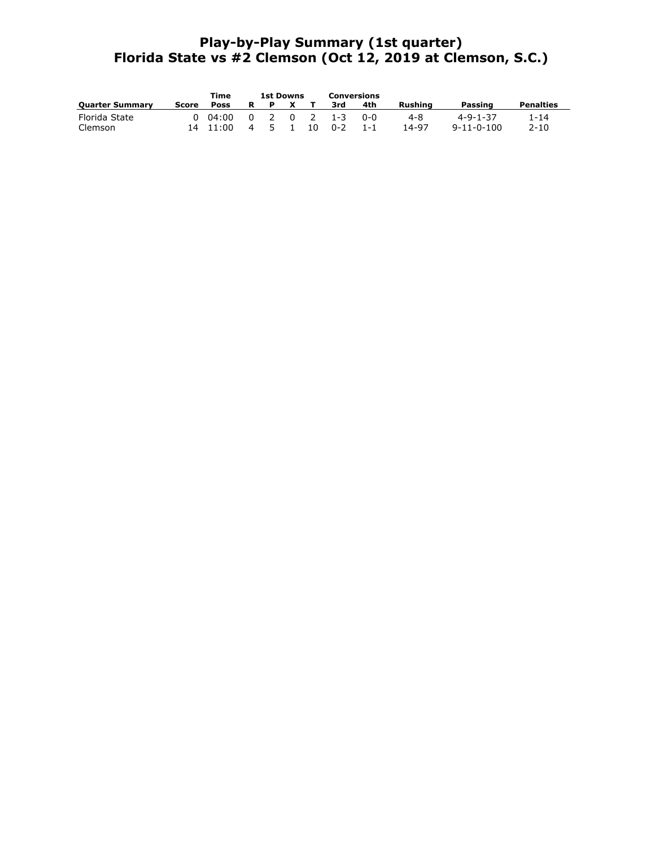# Play-by-Play Summary (1st quarter) Florida State vs #2 Clemson (Oct 12, 2019 at Clemson, S.C.)

|                        |       | Time           |                         | <b>1st Downs</b> |                |    | Conversions |         |         |                    |                  |
|------------------------|-------|----------------|-------------------------|------------------|----------------|----|-------------|---------|---------|--------------------|------------------|
| <b>Quarter Summary</b> | Score | <b>Poss</b>    | R                       |                  | $\mathbf{x}$   |    | 3rd         | 4th     | Rushina | Passing            | <b>Penalties</b> |
| Florida State          |       | $0\quad 04:00$ | $\overline{\mathbf{0}}$ | 2 0              |                |    | $2 \t 1-3$  | ი-ი     | 4-8     | 4-9-1-37           | 1-14             |
| Clemson                |       | 14 11:00       | 4                       | 5.               | $\blacksquare$ | 10 | $0 - 2$     | $1 - 1$ | 14-97   | $9 - 11 - 0 - 100$ | $2 - 10$         |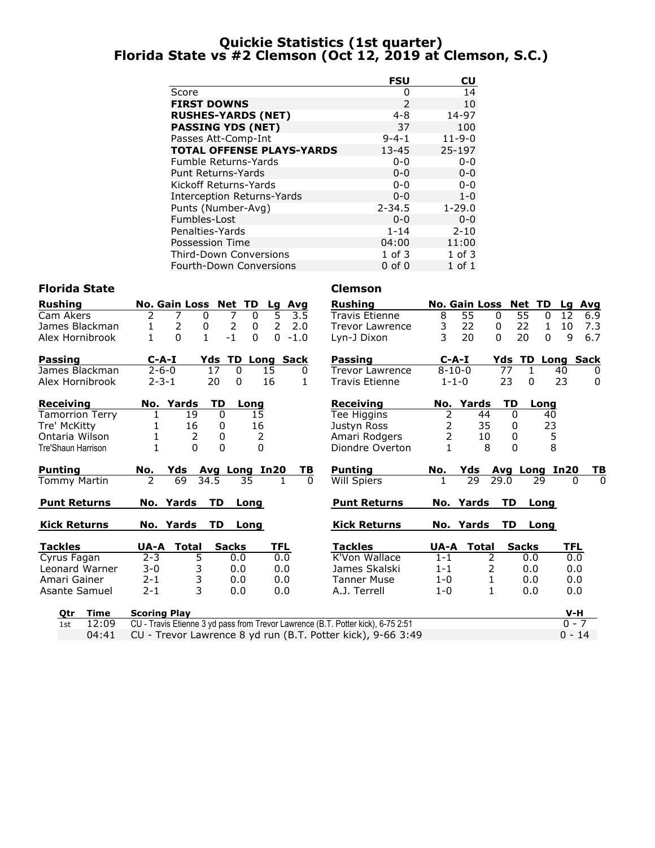# Quickie Statistics (1st quarter) Florida State vs #2 Clemson (Oct 12, 2019 at Clemson, S.C.)

|                                   | <b>FSU</b>    | CU           |
|-----------------------------------|---------------|--------------|
| Score                             | 0             | 14           |
| <b>FIRST DOWNS</b>                | $\mathcal{P}$ | 10           |
| <b>RUSHES-YARDS (NET)</b>         | $4 - 8$       | 14-97        |
| <b>PASSING YDS (NET)</b>          | 37            | 100          |
| Passes Att-Comp-Int               | $9 - 4 - 1$   | $11 - 9 - 0$ |
| <b>TOTAL OFFENSE PLAYS-YARDS</b>  | $13 - 45$     | 25-197       |
| Fumble Returns-Yards              | $0 - 0$       | $0 - 0$      |
| Punt Returns-Yards                | $0 - 0$       | $0 - 0$      |
| Kickoff Returns-Yards             | $0 - 0$       | $0 - 0$      |
| <b>Interception Returns-Yards</b> | $0 - 0$       | $1 - 0$      |
| Punts (Number-Avg)                | $2 - 34.5$    | $1 - 29.0$   |
| Fumbles-Lost                      | $0 - 0$       | $0 - 0$      |
| Penalties-Yards                   | $1 - 14$      | $2 - 10$     |
| Possession Time                   | 04:00         | 11:00        |
| <b>Third-Down Conversions</b>     | $1$ of $3$    | $1$ of $3$   |
| <b>Fourth-Down Conversions</b>    | $0$ of $0$    | $1$ of $1$   |

# Florida State **Clemson**

| <b>Rushing</b>      | No. Gain Loss Net TD |                                  | Lg<br>Avg              | <b>Rushing</b>                                                                   |                | <b>No. Gain Loss</b> | <b>Net TD</b>           | Lg Avg             |                |
|---------------------|----------------------|----------------------------------|------------------------|----------------------------------------------------------------------------------|----------------|----------------------|-------------------------|--------------------|----------------|
| Cam Akers           | 2<br>7               | 7<br>$\mathbf{0}$<br>0           | 5<br>3.5               | Travis Etienne                                                                   | 8              | 55                   | 55<br>$\mathbf{0}$      | 12<br>$\mathbf{0}$ | 6.9            |
| James Blackman      | $\overline{2}$<br>1  | $\overline{2}$<br>0<br>0         | $\overline{2}$<br>2.0  | <b>Trevor Lawrence</b>                                                           | 3              | 22                   | 22<br>0                 | 10<br>$\mathbf{1}$ | 7.3            |
| Alex Hornibrook     | $\Omega$<br>1        | $\mathbf{1}$<br>$-1$<br>$\Omega$ | $\mathbf{0}$<br>$-1.0$ | Lyn-J Dixon                                                                      | 3              | 20                   | $\Omega$<br>20          | 9<br>$\mathbf{0}$  | 6.7            |
| Passing             | $C-A-I$              | Yds                              | <b>TD Long Sack</b>    | Passing                                                                          | $C-A-I$        |                      | <b>Yds TD Long Sack</b> |                    |                |
| James Blackman      | $2 - 6 - 0$          | 17<br>$\mathbf{0}$               | 15<br>$\Omega$         | Trevor Lawrence                                                                  | $8 - 10 - 0$   |                      | 77<br>$\mathbf{1}$      | 40                 | 0              |
| Alex Hornibrook     | $2 - 3 - 1$          | 20<br>$\Omega$                   | 16<br>1.               | <b>Travis Etienne</b>                                                            | $1 - 1 - 0$    |                      | 23<br>$\Omega$          | 23                 | $\mathbf{0}$   |
| Receiving           | No. Yards            | <b>TD</b><br>Long                |                        | <b>Receiving</b>                                                                 |                | No. Yards            | TD<br>Long              |                    |                |
| Tamorrion Terry     | 19                   | $\mathbf{0}$<br>15               |                        | Tee Higgins                                                                      | 2              | 44                   | $\mathbf{0}$            | 40                 |                |
| Tre' McKitty        | 16                   | 16<br>0                          |                        | Justyn Ross                                                                      | $\overline{2}$ | 35                   | $\mathbf{0}$            | 23                 |                |
| Ontaria Wilson      | 2                    | 0                                | 2                      | Amari Rodgers                                                                    | $\overline{2}$ | 10                   | 0                       | 5                  |                |
| Tre'Shaun Harrison  | $\Omega$             | $\Omega$                         | $\Omega$               | Diondre Overton                                                                  | 1              | 8                    | $\Omega$                | 8                  |                |
| Punting             | No.                  | Yds Avg Long In20                | TВ                     | <b>Punting</b>                                                                   | No.            |                      | Yds Avg Long In20       |                    | <u>ТВ</u>      |
| Tommy Martin        | $\mathcal{P}$<br>69  | 34.5<br>35                       | $\Omega$               | <b>Will Spiers</b>                                                               |                | 29                   | 29.0<br>29              | 0                  | $\overline{0}$ |
| <b>Punt Returns</b> | No. Yards            | TD.<br>Long                      |                        | <b>Punt Returns</b>                                                              |                | No. Yards            | TD Long                 |                    |                |
| <b>Kick Returns</b> | No. Yards            | TD<br>Long                       |                        | <b>Kick Returns</b>                                                              |                | No. Yards            | TD<br>Long              |                    |                |
| <b>Tackles</b>      | <b>Total</b><br>UA-A | <b>Sacks</b>                     | <b>TFL</b>             | <b>Tackles</b>                                                                   | UA-A           | <b>Total</b>         | <b>Sacks</b>            | TFL                |                |
| Cyrus Fagan         | $2 - 3$<br>5         | 0.0                              | 0.0                    | K'Von Wallace                                                                    | $1 - 1$        | 2                    | 0.0                     | 0.0                |                |
| Leonard Warner      | 3<br>$3 - 0$         | 0.0                              | 0.0                    | James Skalski                                                                    | $1 - 1$        | 2                    | 0.0                     | 0.0                |                |
| Amari Gainer        | 3<br>$2 - 1$         | 0.0                              | 0.0                    | <b>Tanner Muse</b>                                                               | $1-0$          | 1                    | 0.0                     | 0.0                |                |
| Asante Samuel       | 3<br>$2 - 1$         | 0.0                              | 0.0                    | A.J. Terrell                                                                     | $1 - 0$        | 1                    | 0.0                     | 0.0                |                |
| <b>Time</b><br>Qtr  | <b>Scoring Play</b>  |                                  |                        |                                                                                  |                |                      |                         | V-H                |                |
| 12:09<br>1st        |                      |                                  |                        | CU - Travis Etienne 3 yd pass from Trevor Lawrence (B.T. Potter kick), 6-75 2:51 |                |                      |                         | $0 - 7$            |                |
| 04:41               |                      |                                  |                        | CU - Trevor Lawrence 8 yd run (B.T. Potter kick), 9-66 3:49                      |                |                      |                         | $0 - 14$           |                |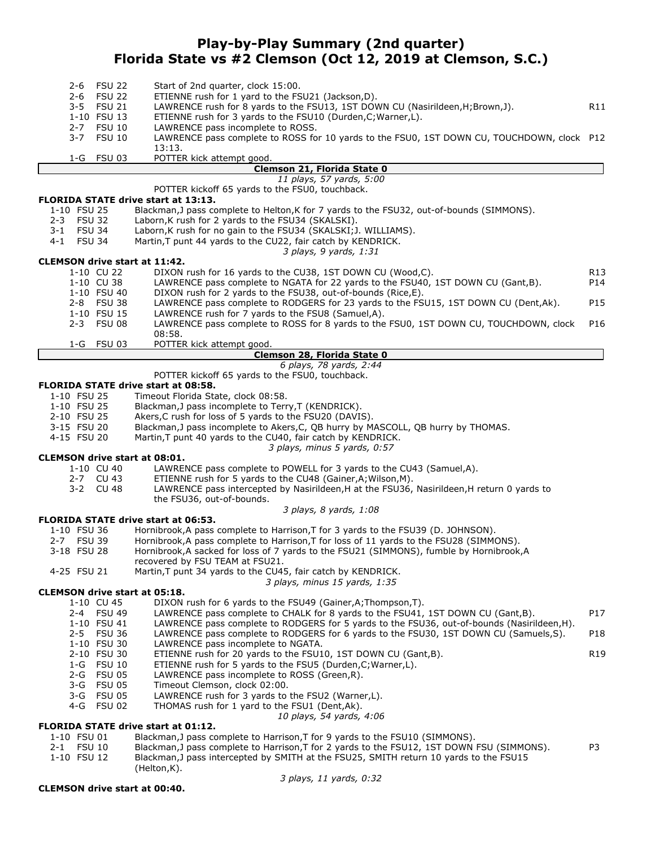# Play-by-Play Summary (2nd quarter) Florida State vs #2 Clemson (Oct 12, 2019 at Clemson, S.C.)

| <b>FSU 22</b><br>$2 - 6$                                  | Start of 2nd quarter, clock 15:00.                                                                                                                   |                 |
|-----------------------------------------------------------|------------------------------------------------------------------------------------------------------------------------------------------------------|-----------------|
| <b>FSU 22</b><br>2-6<br>$3 - 5$<br><b>FSU 21</b>          | ETIENNE rush for 1 yard to the FSU21 (Jackson, D).<br>LAWRENCE rush for 8 yards to the FSU13, 1ST DOWN CU (Nasirildeen, H; Brown, J).                | R11             |
| 1-10 FSU 13                                               | ETIENNE rush for 3 yards to the FSU10 (Durden, C; Warner, L).                                                                                        |                 |
| $2 - 7$<br><b>FSU 10</b>                                  | LAWRENCE pass incomplete to ROSS.                                                                                                                    |                 |
| $3 - 7$<br>FSU 10                                         | LAWRENCE pass complete to ROSS for 10 yards to the FSU0, 1ST DOWN CU, TOUCHDOWN, clock P12<br>13:13.                                                 |                 |
| 1-G FSU 03                                                | POTTER kick attempt good.                                                                                                                            |                 |
|                                                           | Clemson 21, Florida State 0                                                                                                                          |                 |
|                                                           | 11 plays, 57 yards, 5:00<br>POTTER kickoff 65 yards to the FSU0, touchback.                                                                          |                 |
| <b>FLORIDA STATE drive start at 13:13.</b>                |                                                                                                                                                      |                 |
| 1-10 FSU 25<br>2-3 FSU 32                                 | Blackman, J pass complete to Helton, K for 7 yards to the FSU32, out-of-bounds (SIMMONS).<br>Laborn, K rush for 2 yards to the FSU34 (SKALSKI).      |                 |
| 3-1 FSU 34                                                | Laborn, K rush for no gain to the FSU34 (SKALSKI; J. WILLIAMS).                                                                                      |                 |
| 4-1 FSU 34                                                | Martin, T punt 44 yards to the CU22, fair catch by KENDRICK.                                                                                         |                 |
| <b>CLEMSON drive start at 11:42.</b>                      | 3 plays, 9 yards, 1:31                                                                                                                               |                 |
| 1-10 CU 22                                                | DIXON rush for 16 yards to the CU38, 1ST DOWN CU (Wood,C).                                                                                           | R <sub>13</sub> |
| 1-10 CU 38                                                | LAWRENCE pass complete to NGATA for 22 yards to the FSU40, 1ST DOWN CU (Gant, B).                                                                    | P14             |
| 1-10 FSU 40<br>2-8 FSU 38                                 | DIXON rush for 2 yards to the FSU38, out-of-bounds (Rice,E).<br>LAWRENCE pass complete to RODGERS for 23 yards to the FSU15, 1ST DOWN CU (Dent, Ak). | P15             |
| 1-10 FSU 15                                               | LAWRENCE rush for 7 yards to the FSU8 (Samuel,A).                                                                                                    |                 |
| $2 - 3$<br>FSU 08                                         | LAWRENCE pass complete to ROSS for 8 yards to the FSU0, 1ST DOWN CU, TOUCHDOWN, clock                                                                | P16             |
| 1-G FSU 03                                                | 08:58.<br>POTTER kick attempt good.                                                                                                                  |                 |
|                                                           | Clemson 28, Florida State 0                                                                                                                          |                 |
|                                                           | 6 plays, 78 yards, 2:44<br>POTTER kickoff 65 yards to the FSU0, touchback.                                                                           |                 |
| FLORIDA STATE drive start at 08:58.                       |                                                                                                                                                      |                 |
| 1-10 FSU 25                                               | Timeout Florida State, clock 08:58.                                                                                                                  |                 |
| 1-10 FSU 25<br>2-10 FSU 25                                | Blackman, J pass incomplete to Terry, T (KENDRICK).<br>Akers, C rush for loss of 5 yards to the FSU20 (DAVIS).                                       |                 |
| 3-15 FSU 20                                               | Blackman, J pass incomplete to Akers, C, QB hurry by MASCOLL, QB hurry by THOMAS.                                                                    |                 |
| 4-15 FSU 20                                               | Martin, T punt 40 yards to the CU40, fair catch by KENDRICK.                                                                                         |                 |
| <b>CLEMSON drive start at 08:01.</b>                      | 3 plays, minus 5 yards, 0:57                                                                                                                         |                 |
| 1-10 CU 40                                                | LAWRENCE pass complete to POWELL for 3 yards to the CU43 (Samuel, A).                                                                                |                 |
| 2-7 CU 43                                                 | ETIENNE rush for 5 yards to the CU48 (Gainer, A; Wilson, M).                                                                                         |                 |
| 3-2 CU 48                                                 | LAWRENCE pass intercepted by Nasirildeen, H at the FSU36, Nasirildeen, H return 0 yards to<br>the FSU36, out-of-bounds.                              |                 |
|                                                           | 3 plays, 8 yards, 1:08                                                                                                                               |                 |
| <b>FLORIDA STATE drive start at 06:53.</b><br>1-10 FSU 36 | Hornibrook, A pass complete to Harrison, T for 3 yards to the FSU39 (D. JOHNSON).                                                                    |                 |
| 2-7 FSU 39                                                | Hornibrook, A pass complete to Harrison, T for loss of 11 yards to the FSU28 (SIMMONS).                                                              |                 |
| 3-18 FSU 28                                               | Hornibrook, A sacked for loss of 7 yards to the FSU21 (SIMMONS), fumble by Hornibrook, A                                                             |                 |
| 4-25 FSU 21                                               | recovered by FSU TEAM at FSU21.<br>Martin, T punt 34 yards to the CU45, fair catch by KENDRICK.                                                      |                 |
|                                                           | 3 plays, minus 15 yards, 1:35                                                                                                                        |                 |
| <b>CLEMSON drive start at 05:18.</b>                      |                                                                                                                                                      |                 |
| 1-10 CU 45<br>2-4 FSU 49                                  | DIXON rush for 6 yards to the FSU49 (Gainer, A; Thompson, T).<br>LAWRENCE pass complete to CHALK for 8 yards to the FSU41, 1ST DOWN CU (Gant, B).    | P17             |
| 1-10 FSU 41                                               | LAWRENCE pass complete to RODGERS for 5 yards to the FSU36, out-of-bounds (Nasirildeen,H).                                                           |                 |
| $2 - 5$<br><b>FSU 36</b>                                  | LAWRENCE pass complete to RODGERS for 6 yards to the FSU30, 1ST DOWN CU (Samuels, S).                                                                | P18             |
| 1-10 FSU 30<br>2-10 FSU 30                                | LAWRENCE pass incomplete to NGATA.<br>ETIENNE rush for 20 yards to the FSU10, 1ST DOWN CU (Gant, B).                                                 | R <sub>19</sub> |
| 1-G FSU 10                                                | ETIENNE rush for 5 yards to the FSU5 (Durden, C; Warner, L).                                                                                         |                 |
| <b>FSU 05</b><br>2-G                                      | LAWRENCE pass incomplete to ROSS (Green, R).                                                                                                         |                 |
| 3-G FSU 05<br>3-G FSU 05                                  | Timeout Clemson, clock 02:00.<br>LAWRENCE rush for 3 yards to the FSU2 (Warner,L).                                                                   |                 |
| 4-G FSU 02                                                | THOMAS rush for 1 yard to the FSU1 (Dent, Ak).                                                                                                       |                 |
| FLORIDA STATE drive start at 01:12.                       | 10 plays, 54 yards, 4:06                                                                                                                             |                 |
| 1-10 FSU 01                                               | Blackman, J pass complete to Harrison, T for 9 yards to the FSU10 (SIMMONS).                                                                         |                 |
| 2-1 FSU 10                                                | Blackman, J pass complete to Harrison, T for 2 yards to the FSU12, 1ST DOWN FSU (SIMMONS).                                                           | P3              |
| 1-10 FSU 12                                               | Blackman, J pass intercepted by SMITH at the FSU25, SMITH return 10 yards to the FSU15<br>(Helton, K).                                               |                 |

CLEMSON drive start at 00:40.

3 plays, 11 yards, 0:32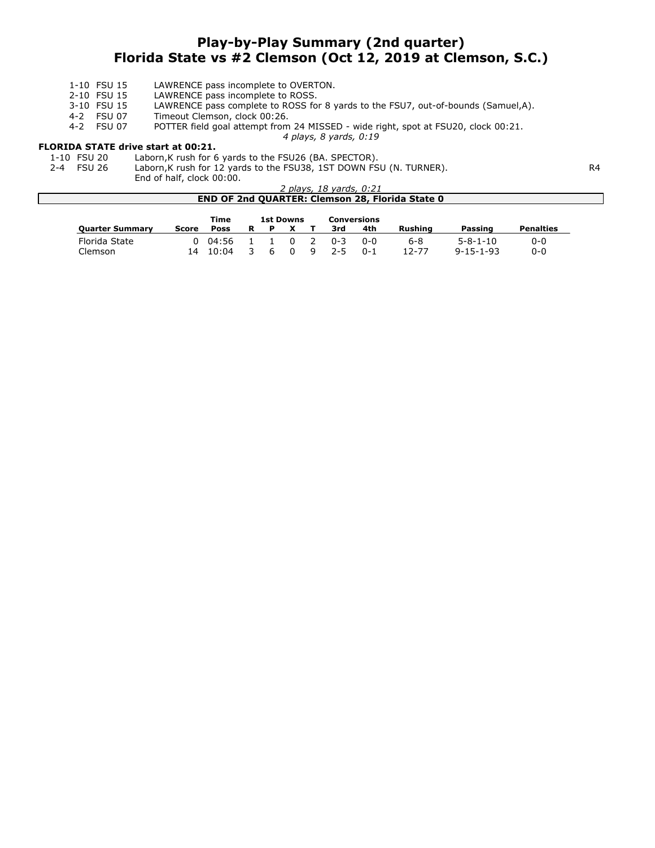# Play-by-Play Summary (2nd quarter) Florida State vs #2 Clemson (Oct 12, 2019 at Clemson, S.C.)

4 plays, 8 yards, 0:19

- 1-10 FSU 15 LAWRENCE pass incomplete to OVERTON.<br>2-10 FSU 15 LAWRENCE pass incomplete to ROSS.
- 2-10 FSU 15 LAWRENCE pass incomplete to ROSS.<br>3-10 FSU 15 LAWRENCE pass complete to ROSS fo
- 3-10 FSU 15 LAWRENCE pass complete to ROSS for 8 yards to the FSU7, out-of-bounds (Samuel,A).<br>4-2 FSU 07 Timeout Clemson, clock 00:26.
- Timeout Clemson, clock 00:26.

4-2 FSU 07 POTTER field goal attempt from 24 MISSED - wide right, spot at FSU20, clock 00:21.

# **FLORIDA STATE drive start at 00:21.**<br>1-10 FSU 20 Laborn, K rush for 6

- 1-10 FSU 20 Laborn, K rush for 6 yards to the FSU26 (BA. SPECTOR).<br>2-4 FSU 26 Laborn, K rush for 12 yards to the FSU38, 1ST DOWN FS
	- Laborn,K rush for 12 yards to the FSU38, 1ST DOWN FSU (N. TURNER). R4

End of half, clock 00:00.

| 2 plays, 18 yards, 0:21                                |
|--------------------------------------------------------|
| <b>END OF 2nd QUARTER: Clemson 28, Florida State 0</b> |

|                        |              | Time  |   |   | <b>1st Downs</b> |   |         | <b>Conversions</b> |         |                   |                  |
|------------------------|--------------|-------|---|---|------------------|---|---------|--------------------|---------|-------------------|------------------|
| <b>Quarter Summary</b> | <b>Score</b> | Poss  | R | Р |                  |   | 3rd     | 4th                | Rushina | Passing           | <b>Penalties</b> |
| Florida State          | 0            | 04:56 |   |   | $\Omega$         | 2 | በ-3     | 0-0                | 6-8     | $5 - 8 - 1 - 10$  | 0-0              |
| Clemson                | 14           | 10:04 |   | h | $\Omega$         | 9 | $2 - 5$ | $0 - 1$            | 12-77   | $9 - 15 - 1 - 93$ | 0-0              |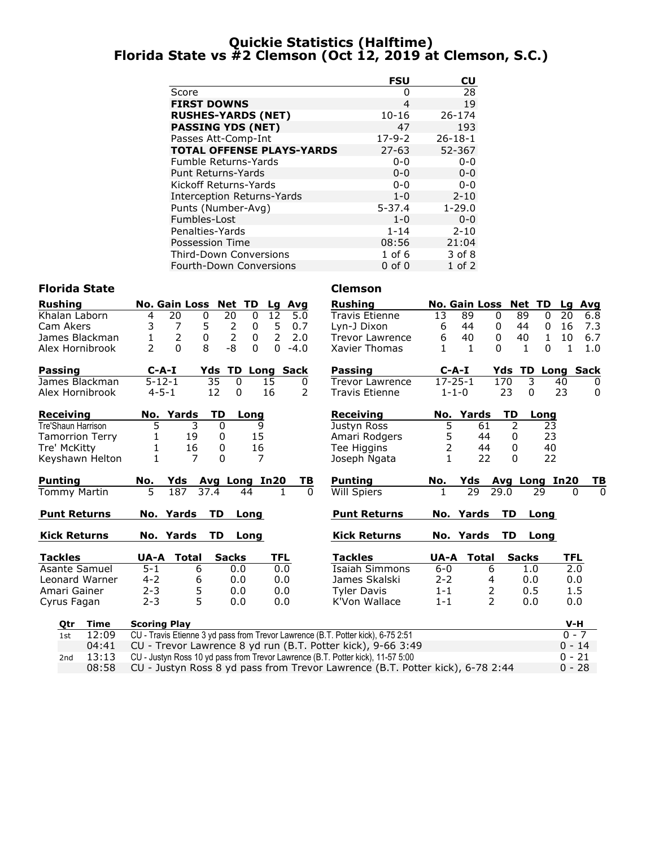# Quickie Statistics (Halftime) Florida State vs #2 Clemson (Oct 12, 2019 at Clemson, S.C.)

|                                   | <b>FSU</b>   | CU            |
|-----------------------------------|--------------|---------------|
| Score                             | O            | 28            |
| <b>FIRST DOWNS</b>                | 4            | 19            |
| <b>RUSHES-YARDS (NET)</b>         | $10 - 16$    | 26-174        |
| <b>PASSING YDS (NET)</b>          | 47           | 193           |
| Passes Att-Comp-Int               | $17 - 9 - 2$ | $26 - 18 - 1$ |
| <b>TOTAL OFFENSE PLAYS-YARDS</b>  | $27 - 63$    | 52-367        |
| <b>Fumble Returns-Yards</b>       | $0 - 0$      | $0 - 0$       |
| <b>Punt Returns-Yards</b>         | $0 - 0$      | $0 - 0$       |
| Kickoff Returns-Yards             | ი-ი          | $0 - 0$       |
| <b>Interception Returns-Yards</b> | $1 - 0$      | $2 - 10$      |
| Punts (Number-Avg)                | $5 - 37.4$   | $1 - 29.0$    |
| Fumbles-Lost                      | $1 - 0$      | $0 - 0$       |
| Penalties-Yards                   | $1 - 14$     | $2 - 10$      |
| Possession Time                   | 08:56        | 21:04         |
| <b>Third-Down Conversions</b>     | $1$ of $6$   | 3 of 8        |
| <b>Fourth-Down Conversions</b>    | $0$ of $0$   | $1$ of $2$    |

### Florida State **Clemson**

| <b>Rushing</b>         |       | No. Gain Loss Net TD           |                                       |                |              |            | Lg Avg              |          | <b>Rushing</b>                                                                   |                | No. Gain Loss Net TD |                |               |                    | Lg Avg                         |
|------------------------|-------|--------------------------------|---------------------------------------|----------------|--------------|------------|---------------------|----------|----------------------------------------------------------------------------------|----------------|----------------------|----------------|---------------|--------------------|--------------------------------|
| Khalan Laborn          |       | 20<br>$\overline{4}$           | $\mathbf 0$                           | 20             | $\mathbf{0}$ | 12         | 5.0                 |          | <b>Travis Etienne</b>                                                            | 13             | 89                   | $\mathbf{0}$   | 89            | 20<br>$\Omega$     | 6.8                            |
| Cam Akers              |       | 3<br>7                         | $\begin{array}{c} 5 \\ 0 \end{array}$ | $\overline{2}$ | 0            | 5          | 0.7                 |          | Lyn-J Dixon                                                                      | 6              | 44                   | 0              | 44            | 16<br>0            | 7.3                            |
| James Blackman         |       | $\overline{2}$<br>$\mathbf{1}$ |                                       | $\overline{2}$ | 0            | 2          | 2.0                 |          | <b>Trevor Lawrence</b>                                                           | 6              | 40                   | 0              | 40            | $\mathbf{1}$<br>10 | 6.7                            |
| Alex Hornibrook        |       | $\overline{2}$<br>$\Omega$     | 8                                     | $-8$           | $\Omega$     | $\Omega$   | $-4.0$              |          | Xavier Thomas                                                                    | 1              | 1                    | 0              | $\mathbf{1}$  | 0<br>1             | 1.0                            |
| Passing                |       | $C-A-I$                        | Yds                                   |                |              |            | <b>TD Long Sack</b> |          | Passing                                                                          | $C-A-I$        |                      | Yds            |               |                    | <b>TD Long Sack</b>            |
| James Blackman         |       | $5 - 12 - 1$                   |                                       | 35             | $\Omega$     | 15         | 0                   |          | Trevor Lawrence                                                                  | $17 - 25 - 1$  |                      | 170            | 3             | 40                 | 0                              |
| Alex Hornibrook        |       | $4 - 5 - 1$                    |                                       | 12             | 0            | 16         | 2                   |          | <b>Travis Etienne</b>                                                            | $1 - 1 - 0$    |                      | 23             | 0             | 23                 | 0                              |
| <b>Receiving</b>       |       | No. Yards                      |                                       | TD             | Long         |            |                     |          | <b>Receiving</b>                                                                 | No.            | Yards                | TD             | Long          |                    |                                |
| Tre'Shaun Harrison     |       | 5                              | 3                                     | $\mathbf{0}$   | 9            |            |                     |          | Justyn Ross                                                                      | 5              | 61                   | 2              |               | 23                 |                                |
| <b>Tamorrion Terry</b> |       | 1                              | 19                                    | 0              | 15           |            |                     |          | Amari Rodgers                                                                    | 5              | 44                   | 0              |               | 23                 |                                |
| Tre' McKitty           |       | 1                              | 16                                    | 0              | 16           |            |                     |          | Tee Higgins                                                                      | $\overline{2}$ | 44                   | $\mathbf 0$    |               | 40                 |                                |
| Keyshawn Helton        |       |                                | $\overline{7}$                        | $\Omega$       | 7            |            |                     |          | Joseph Ngata                                                                     | $\mathbf{1}$   | 22                   | $\Omega$       |               | 22                 |                                |
| <b>Punting</b>         | No.   |                                | Yds                                   | Avg Long In20  |              |            |                     | TВ       | <b>Punting</b>                                                                   | No.            | Yds                  |                | Avg Long In20 |                    | <u>ТВ</u>                      |
| <b>Tommy Martin</b>    |       | $\overline{5}$<br>187          | 37.4                                  |                | 44           |            |                     | $\Omega$ | Will Spiers                                                                      | 1              | 29                   | 29.0           | 29            |                    | $\overline{0}$<br>$\mathbf{0}$ |
| <b>Punt Returns</b>    |       | No. Yards                      |                                       | <b>TD</b>      | Long         |            |                     |          | <b>Punt Returns</b>                                                              |                | No. Yards            | <b>TD</b>      | Long          |                    |                                |
| <b>Kick Returns</b>    |       | No. Yards                      |                                       | TD.            | Long         |            |                     |          | <b>Kick Returns</b>                                                              |                | No. Yards            | TD             | Long          |                    |                                |
| <b>Tackles</b>         |       | UA-A                           | Total                                 | <b>Sacks</b>   |              | <b>TFL</b> |                     |          | <b>Tackles</b>                                                                   | UA-A           | <b>Total</b>         |                | <b>Sacks</b>  | <b>TFL</b>         |                                |
| Asante Samuel          |       | $\overline{5}$ -1              | 6                                     |                | 0.0          | 0.0        |                     |          | <b>Isaiah Simmons</b>                                                            | $6-0$          |                      | 6              | 1.0           |                    | $\overline{2.0}$               |
| Leonard Warner         |       | $4 - 2$                        | 6                                     |                | 0.0          | 0.0        |                     |          | James Skalski                                                                    | $2 - 2$        |                      | 4              | 0.0           |                    | 0.0                            |
| Amari Gainer           |       | $2 - 3$                        | 5                                     |                | 0.0          | 0.0        |                     |          | <b>Tyler Davis</b>                                                               | $1 - 1$        |                      | $\overline{2}$ | 0.5           |                    | 1.5                            |
| Cyrus Fagan            |       | $2 - 3$                        | 5                                     |                | 0.0          | 0.0        |                     |          | K'Von Wallace                                                                    | $1 - 1$        |                      | $\mathcal{P}$  | 0.0           |                    | 0.0                            |
| <b>Time</b><br>Qtr     |       | <b>Scoring Play</b>            |                                       |                |              |            |                     |          |                                                                                  |                |                      |                |               |                    | V-H                            |
| 1st                    | 12:09 |                                |                                       |                |              |            |                     |          | CU - Travis Etienne 3 yd pass from Trevor Lawrence (B.T. Potter kick), 6-75 2:51 |                |                      |                |               |                    | $0 - 7$                        |
|                        | 04:41 |                                |                                       |                |              |            |                     |          | CU - Trevor Lawrence 8 yd run (B.T. Potter kick), 9-66 3:49                      |                |                      |                |               |                    | $0 - 14$                       |
| 2nd                    | 13:13 |                                |                                       |                |              |            |                     |          | CU - Justyn Ross 10 yd pass from Trevor Lawrence (B.T. Potter kick), 11-57 5:00  |                |                      |                |               |                    | $0 - 21$                       |

08:58 CU - Justyn Ross 8 yd pass from Trevor Lawrence (B.T. Potter kick), 6-78 2:44 0 - 28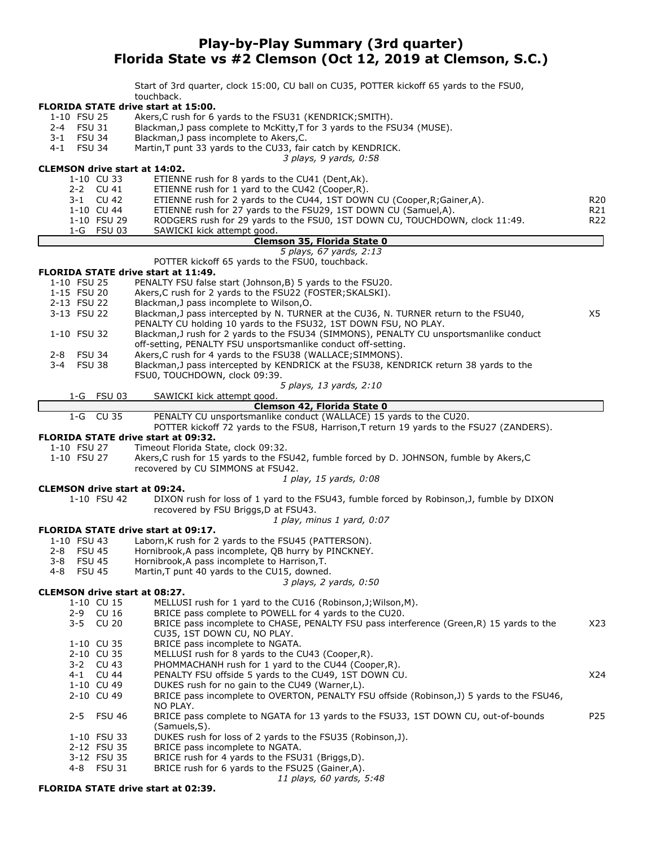# Play-by-Play Summary (3rd quarter) Florida State vs #2 Clemson (Oct 12, 2019 at Clemson, S.C.)

Start of 3rd quarter, clock 15:00, CU ball on CU35, POTTER kickoff 65 yards to the FSU0, touchback.

#### FLORIDA STATE drive start at 15:00.

- 1-10 FSU 25 Akers,C rush for 6 yards to the FSU31 (KENDRICK;SMITH).
- 2-4 FSU 31 Blackman,J pass complete to McKitty,T for 3 yards to the FSU34 (MUSE).
- 3-1 FSU 34 Blackman, J pass incomplete to Akers, C.<br>4-1 FSU 34 Martin. T punt 33 vards to the CU33. fair
- Martin,T punt 33 yards to the CU33, fair catch by KENDRICK.

3 plays, 9 yards, 0:58

|             |               |             | CLEMSON drive start at 14:02.                                                             |                 |
|-------------|---------------|-------------|-------------------------------------------------------------------------------------------|-----------------|
|             |               | 1-10 CU 33  | ETIENNE rush for 8 yards to the CU41 (Dent, Ak).                                          |                 |
|             |               | 2-2 CU 41   | ETIENNE rush for 1 yard to the CU42 (Cooper, R).                                          |                 |
|             |               | 3-1 CU 42   | ETIENNE rush for 2 yards to the CU44, 1ST DOWN CU (Cooper, R; Gainer, A).                 | R <sub>20</sub> |
|             |               | 1-10 CU 44  | ETIENNE rush for 27 yards to the FSU29, 1ST DOWN CU (Samuel,A).                           | R21             |
|             |               | 1-10 FSU 29 | RODGERS rush for 29 yards to the FSU0, 1ST DOWN CU, TOUCHDOWN, clock 11:49.               | R <sub>22</sub> |
|             |               | 1-G FSU 03  | SAWICKI kick attempt good.                                                                |                 |
|             |               |             | Clemson 35, Florida State 0                                                               |                 |
|             |               |             | 5 plays, 67 yards, 2:13                                                                   |                 |
|             |               |             | POTTER kickoff 65 yards to the FSU0, touchback.                                           |                 |
|             |               |             | FLORIDA STATE drive start at 11:49.                                                       |                 |
| 1-10 FSU 25 |               |             | PENALTY FSU false start (Johnson, B) 5 yards to the FSU20.                                |                 |
| 1-15 FSU 20 |               |             | Akers, C rush for 2 yards to the FSU22 (FOSTER; SKALSKI).                                 |                 |
| 2-13 FSU 22 |               |             | Blackman, J pass incomplete to Wilson, O.                                                 |                 |
| 3-13 FSU 22 |               |             | Blackman, J pass intercepted by N. TURNER at the CU36, N. TURNER return to the FSU40,     | X5              |
|             |               |             | PENALTY CU holding 10 yards to the FSU32, 1ST DOWN FSU, NO PLAY.                          |                 |
| 1-10 FSU 32 |               |             | Blackman, J rush for 2 yards to the FSU34 (SIMMONS), PENALTY CU unsportsmanlike conduct   |                 |
|             |               |             | off-setting, PENALTY FSU unsportsmanlike conduct off-setting.                             |                 |
| 2-8 FSU 34  |               |             | Akers, C rush for 4 yards to the FSU38 (WALLACE; SIMMONS).                                |                 |
| $3 - 4$     | <b>FSU 38</b> |             | Blackman, J pass intercepted by KENDRICK at the FSU38, KENDRICK return 38 yards to the    |                 |
|             |               |             | FSU0, TOUCHDOWN, clock 09:39.                                                             |                 |
|             |               |             | 5 plays, 13 yards, 2:10                                                                   |                 |
|             |               | 1-G FSU 03  | SAWICKI kick attempt good.                                                                |                 |
|             |               |             | Clemson 42, Florida State 0                                                               |                 |
|             |               | 1-G CU 35   | PENALTY CU unsportsmanlike conduct (WALLACE) 15 yards to the CU20.                        |                 |
|             |               |             | POTTER kickoff 72 yards to the FSU8, Harrison, T return 19 yards to the FSU27 (ZANDERS).  |                 |
|             |               |             | <b>FLORIDA STATE drive start at 09:32.</b>                                                |                 |
| 1-10 FSU 27 |               |             | Timeout Florida State, clock 09:32.                                                       |                 |
| 1-10 FSU 27 |               |             | Akers, C rush for 15 yards to the FSU42, fumble forced by D. JOHNSON, fumble by Akers, C  |                 |
|             |               |             | recovered by CU SIMMONS at FSU42.                                                         |                 |
|             |               |             | 1 play, 15 yards, 0:08                                                                    |                 |
|             |               |             | <b>CLEMSON drive start at 09:24.</b>                                                      |                 |
|             |               | 1-10 FSU 42 | DIXON rush for loss of 1 yard to the FSU43, fumble forced by Robinson, J, fumble by DIXON |                 |
|             |               |             | recovered by FSU Briggs, D at FSU43.                                                      |                 |
|             |               |             | 1 play, minus 1 yard, 0:07                                                                |                 |
|             |               |             | <b>FLORIDA STATE drive start at 09:17.</b>                                                |                 |
| 1-10 FSU 43 |               |             | Laborn, K rush for 2 yards to the FSU45 (PATTERSON).                                      |                 |
|             |               |             |                                                                                           |                 |

- 2-8 FSU 45 Hornibrook,A pass incomplete, QB hurry by PINCKNEY.
- 3-8 FSU 45 Hornibrook, A pass incomplete to Harrison, T.<br>4-8 FSU 45 Martin. T punt 40 vards to the CU15, downed
- Martin, T punt 40 yards to the CU15, downed.

#### 3 plays, 2 yards, 0:50

#### CLEMSON drive start at 08:27.

- 1-10 CU 15 MELLUSI rush for 1 yard to the CU16 (Robinson,J;Wilson,M).
- 2-9 CU 16 BRICE pass complete to POWELL for 4 yards to the CU20.<br>2-5 CU 20 BRICE pass incomplete to CHASE, PENALTY FSU pass inter
- BRICE pass incomplete to CHASE, PENALTY FSU pass interference (Green,R) 15 yards to the X23 CU35, 1ST DOWN CU, NO PLAY.
- 1-10 CU 35 BRICE pass incomplete to NGATA.<br>2-10 CU 35 MELLUSI rush for 8 yards to the C
- MELLUSI rush for 8 yards to the CU43 (Cooper,R).
- 3-2 CU 43 PHOMMACHANH rush for 1 yard to the CU44 (Cooper,R).
- 4-1 CU 44 PENALTY FSU offside 5 yards to the CU49, 1ST DOWN CU.<br>1-10 CU 49 DUKES rush for no gain to the CU49 (Warner,L).
- 1-10 CU 49 DUKES rush for no gain to the CU49 (Warner, L).<br>2-10 CU 49 BRICE pass incomplete to OVERTON, PENALTY F. BRICE pass incomplete to OVERTON, PENALTY FSU offside (Robinson,J) 5 yards to the FSU46,
- NO PLAY. 2-5 FSU 46 BRICE pass complete to NGATA for 13 yards to the FSU33, 1ST DOWN CU, out-of-bounds P25
- (Samuels,S).
- 1-10 FSU 33 DUKES rush for loss of 2 yards to the FSU35 (Robinson,J).
- 2-12 FSU 35 BRICE pass incomplete to NGATA.
- 3-12 FSU 35 BRICE rush for 4 yards to the FSU31 (Briggs,D).
- 4-8 FSU 31 BRICE rush for 6 yards to the FSU25 (Gainer,A).

11 plays, 60 yards, 5:48

#### FLORIDA STATE drive start at 02:39.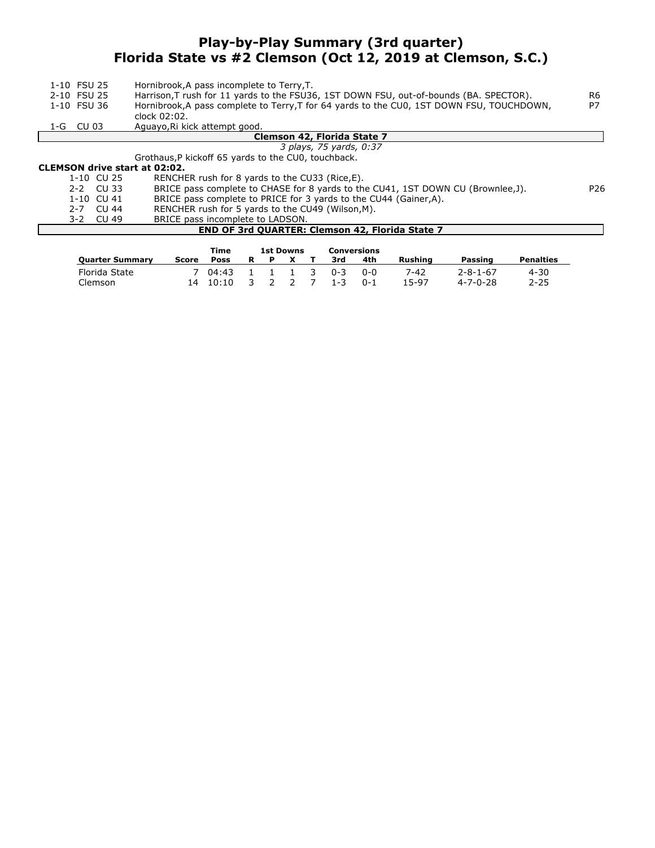# Play-by-Play Summary (3rd quarter) Florida State vs #2 Clemson (Oct 12, 2019 at Clemson, S.C.)

| 1-10 FSU 25<br>2-10 FSU 25<br>1-10 FSU 36 | Hornibrook, A pass incomplete to Terry, T.<br>Harrison, T rush for 11 yards to the FSU36, 1ST DOWN FSU, out-of-bounds (BA. SPECTOR).<br>Hornibrook, A pass complete to Terry, T for 64 yards to the CU0, 1ST DOWN FSU, TOUCHDOWN,<br>clock 02:02. | R <sub>6</sub><br>P7 |
|-------------------------------------------|---------------------------------------------------------------------------------------------------------------------------------------------------------------------------------------------------------------------------------------------------|----------------------|
| 1-G CU 03                                 | Aguayo, Ri kick attempt good.                                                                                                                                                                                                                     |                      |
|                                           | Clemson 42, Florida State 7                                                                                                                                                                                                                       |                      |
|                                           | 3 plays, 75 yards, 0:37                                                                                                                                                                                                                           |                      |
|                                           | Grothaus, P kickoff 65 yards to the CU0, touchback.                                                                                                                                                                                               |                      |
| <b>CLEMSON drive start at 02:02.</b>      |                                                                                                                                                                                                                                                   |                      |
| $1 - 10$ CU 25                            | RENCHER rush for 8 yards to the CU33 (Rice, E).                                                                                                                                                                                                   |                      |
| $2-2$ CU 33                               | BRICE pass complete to CHASE for 8 yards to the CU41, 1ST DOWN CU (Brownlee, J).                                                                                                                                                                  | P <sub>26</sub>      |
| 1-10 CU 41                                | BRICE pass complete to PRICE for 3 yards to the CU44 (Gainer,A).                                                                                                                                                                                  |                      |
| 2-7 CU 44                                 | RENCHER rush for 5 yards to the CU49 (Wilson, M).                                                                                                                                                                                                 |                      |
| 3-2 CU 49                                 | BRICE pass incomplete to LADSON.                                                                                                                                                                                                                  |                      |
|                                           | <b>END OF 3rd QUARTER: Clemson 42, Florida State 7</b>                                                                                                                                                                                            |                      |

|                        |       | Time        |             | <b>1st Downs</b> |  | Conversions |            |         |                  |                  |
|------------------------|-------|-------------|-------------|------------------|--|-------------|------------|---------|------------------|------------------|
| <b>Ouarter Summary</b> | Score | <b>Poss</b> | R           | P                |  | 3rd         | 4th        | Rushina | Passing          | <b>Penalties</b> |
| Florida State          |       | 04:43       | $\cdot$ 1 . | $1 \t1 \t3$      |  | በ-3         | <u>ດ-ດ</u> | 7-42    | $2 - 8 - 1 - 67$ | 4-30             |
| Clemson                |       | 10:10       | 3           |                  |  | $1 - 3$     | $0 - 1$    | 15-97   | $4 - 7 - 0 - 28$ | $2 - 25$         |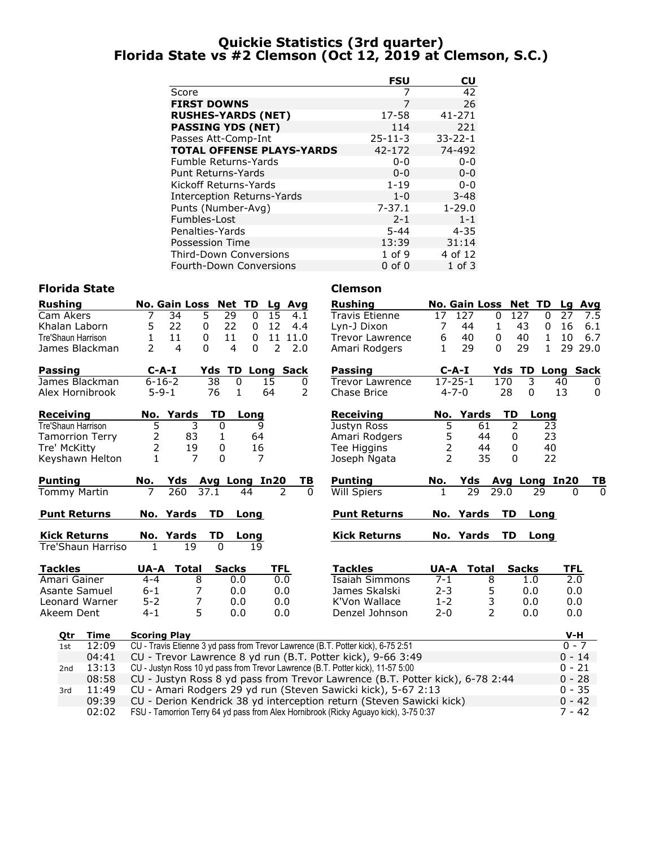# Quickie Statistics (3rd quarter) Florida State vs #2 Clemson (Oct 12, 2019 at Clemson, S.C.)

|                                   | <b>FSU</b>    | CU            |
|-----------------------------------|---------------|---------------|
| Score                             |               | 42            |
| <b>FIRST DOWNS</b>                | 7             | 26            |
| <b>RUSHES-YARDS (NET)</b>         | 17-58         | $41 - 271$    |
| <b>PASSING YDS (NET)</b>          | 114           | 221           |
| Passes Att-Comp-Int               | $25 - 11 - 3$ | $33 - 22 - 1$ |
| <b>TOTAL OFFENSE PLAYS-YARDS</b>  | 42-172        | 74-492        |
| <b>Fumble Returns-Yards</b>       | $0 - 0$       | $0 - 0$       |
| <b>Punt Returns-Yards</b>         | $0 - 0$       | $0 - 0$       |
| Kickoff Returns-Yards             | $1 - 19$      | $0 - 0$       |
| <b>Interception Returns-Yards</b> | $1 - 0$       | $3 - 48$      |
| Punts (Number-Avg)                | $7 - 37.1$    | $1 - 29.0$    |
| Fumbles-Lost                      | $2 - 1$       | $1 - 1$       |
| Penalties-Yards                   | $5 - 44$      | $4 - 35$      |
| Possession Time                   | 13:39         | 31:14         |
| <b>Third-Down Conversions</b>     | 1 of 9        | 4 of 12       |
| <b>Fourth-Down Conversions</b>    | $0$ of $0$    | $1$ of $3$    |

# Florida State **Clemson**

| <b>Rushing</b>      |                        |                     |                  | No. Gain Loss Net TD |               |                     | Lg              | Avg  |          | <b>Rushing</b>                                                                       |                | <b>No. Gain Loss</b> |                | <b>Net TD</b>  |              |            | Lg Avg    |
|---------------------|------------------------|---------------------|------------------|----------------------|---------------|---------------------|-----------------|------|----------|--------------------------------------------------------------------------------------|----------------|----------------------|----------------|----------------|--------------|------------|-----------|
| Cam Akers           |                        | 7                   | 34               | 5                    | 29            | $\mathbf{0}$        | $\overline{15}$ | 4.1  |          | <b>Travis Etienne</b>                                                                | 17             | 127                  | $\mathbf{0}$   | 127            | $\Omega$     | 27         | 7.5       |
| Khalan Laborn       |                        | 5                   | 22               | 0                    | 22            | 0                   | 12              | 4.4  |          | Lyn-J Dixon                                                                          | 7              | 44                   | $\mathbf{1}$   | 43             | 0            | 16         | 6.1       |
| Tre'Shaun Harrison  |                        | 1                   | 11               | 0                    | 11            | $\mathbf{0}$        | 11              | 11.0 |          | <b>Trevor Lawrence</b>                                                               | 6              | 40                   | 0              | 40             | $\mathbf{1}$ | 10         | 6.7       |
|                     | James Blackman         | $\overline{2}$      | 4                | $\Omega$             | 4             | 0                   | $\overline{2}$  | 2.0  |          | Amari Rodgers                                                                        | 1              | 29                   | $\Omega$       | 29             | $\mathbf{1}$ |            | 29 29.0   |
| <b>Passing</b>      |                        |                     | $C-A-I$          | Yds                  |               | <b>TD Long Sack</b> |                 |      |          | Passing                                                                              |                | $C-A-I$              | Yds            | <b>TD</b>      |              |            | Long Sack |
|                     | James Blackman         |                     | $6 - 16 - 2$     |                      | 38            | 0                   | 15              | 0    |          | <b>Trevor Lawrence</b>                                                               |                | $17 - 25 - 1$        | 170            |                | 3            | 40         | 0         |
|                     | Alex Hornibrook        |                     | $5 - 9 - 1$      |                      | 76            | $\mathbf{1}$        | 64              | 2    |          | Chase Brice                                                                          |                | $4 - 7 - 0$          |                | 28             | 0            | 13         | 0         |
| <b>Receiving</b>    |                        |                     | No. Yards        |                      | <b>TD</b>     | Long                |                 |      |          | <b>Receiving</b>                                                                     |                | No. Yards            |                | TD             | Long         |            |           |
| Tre'Shaun Harrison  |                        | 5                   |                  | 3                    | 0             | 9                   |                 |      |          | Justyn Ross                                                                          | 5              |                      | 61             | $\overline{2}$ | 23           |            |           |
|                     | <b>Tamorrion Terry</b> | $\overline{2}$      |                  | 83                   | 1             | 64                  |                 |      |          | Amari Rodgers                                                                        | 5              |                      | 44             | 0              | 23           |            |           |
| Tre' McKitty        |                        | $\overline{2}$      |                  | 19                   | 0             | 16                  |                 |      |          | Tee Higgins                                                                          | $\overline{2}$ |                      | 44             | 0              | 40           |            |           |
|                     | Keyshawn Helton        | 1                   |                  | $\overline{7}$       | $\Omega$      | 7                   |                 |      |          | Joseph Ngata                                                                         | $\overline{2}$ |                      | 35             | 0              | 22           |            |           |
| <b>Punting</b>      |                        | No.                 | Yds              |                      | Avg Long In20 |                     |                 |      | ΤВ       | <b>Punting</b>                                                                       | No.            | Yds                  |                | Avg Long In20  |              |            | <u>ТВ</u> |
| <b>Tommy Martin</b> |                        | $\overline{7}$      | $\overline{260}$ | 37.1                 |               | 44                  |                 | 2    | $\Omega$ | <b>Will Spiers</b>                                                                   | $\mathbf{1}$   | 29                   | 29.0           |                | 29           | $\Omega$   | $\Omega$  |
| <b>Punt Returns</b> |                        |                     | No. Yards        |                      | TD            | Long                |                 |      |          | <b>Punt Returns</b>                                                                  |                | No. Yards            |                | TD             | Long         |            |           |
| <b>Kick Returns</b> |                        |                     | No. Yards        |                      | TD            | Long                |                 |      |          | <b>Kick Returns</b>                                                                  |                | No. Yards            |                | TD             | Long         |            |           |
|                     | Tre'Shaun Harriso      | $\mathbf{1}$        |                  | 19                   | $\Omega$      | 19                  |                 |      |          |                                                                                      |                |                      |                |                |              |            |           |
| <b>Tackles</b>      |                        | UA-A                |                  | <b>Total</b>         | <b>Sacks</b>  |                     | <b>TFL</b>      |      |          | <b>Tackles</b>                                                                       | UA-A           | Total                |                | <b>Sacks</b>   |              | <b>TFL</b> |           |
| Amari Gainer        |                        | $4 - 4$             |                  | 8                    | 0.0           |                     | 0.0             |      |          | <b>Isaiah Simmons</b>                                                                | $7 - 1$        |                      | 8              |                | 1.0          | 2.0        |           |
|                     | Asante Samuel          | $6 - 1$             |                  | 7                    | 0.0           |                     | 0.0             |      |          | James Skalski                                                                        | $2 - 3$        |                      | 5              |                | 0.0          | 0.0        |           |
|                     | Leonard Warner         | $5 - 2$             |                  | 7                    | 0.0           |                     | 0.0             |      |          | K'Von Wallace                                                                        | $1 - 2$        |                      | 3              |                | 0.0          | 0.0        |           |
| Akeem Dent          |                        | $4 - 1$             |                  | 5                    | 0.0           |                     | 0.0             |      |          | Denzel Johnson                                                                       | $2 - 0$        |                      | $\overline{2}$ | 0.0            |              | 0.0        |           |
| <u>Qtr</u>          | Time                   | <b>Scoring Play</b> |                  |                      |               |                     |                 |      |          |                                                                                      |                |                      |                |                |              | $V-H$      |           |
| 1st                 | 12:09                  |                     |                  |                      |               |                     |                 |      |          | CU - Travis Etienne 3 yd pass from Trevor Lawrence (B.T. Potter kick), 6-75 2:51     |                |                      |                |                |              | $0 - 7$    |           |
|                     | 04:41                  |                     |                  |                      |               |                     |                 |      |          | CU - Trevor Lawrence 8 yd run (B.T. Potter kick), 9-66 3:49                          |                |                      |                |                |              | $0 - 14$   |           |
| 2nd                 | 13:13                  |                     |                  |                      |               |                     |                 |      |          | CU - Justyn Ross 10 yd pass from Trevor Lawrence (B.T. Potter kick), 11-57 5:00      |                |                      |                |                |              | $0 - 21$   |           |
|                     | 08:58                  |                     |                  |                      |               |                     |                 |      |          | CU - Justyn Ross 8 yd pass from Trevor Lawrence (B.T. Potter kick), 6-78 2:44        |                |                      |                |                |              | $0 - 28$   |           |
| 3rd                 | 11:49                  |                     |                  |                      |               |                     |                 |      |          | CU - Amari Rodgers 29 yd run (Steven Sawicki kick), 5-67 2:13                        |                |                      |                |                |              | $0 - 35$   |           |
|                     | 09:39                  |                     |                  |                      |               |                     |                 |      |          | CU - Derion Kendrick 38 yd interception return (Steven Sawicki kick)                 |                |                      |                |                |              | $0 - 42$   |           |
|                     | 02:02                  |                     |                  |                      |               |                     |                 |      |          | FSU - Tamorrion Terry 64 yd pass from Alex Hornibrook (Ricky Aguayo kick), 3-75 0:37 |                |                      |                |                |              |            | $7 - 42$  |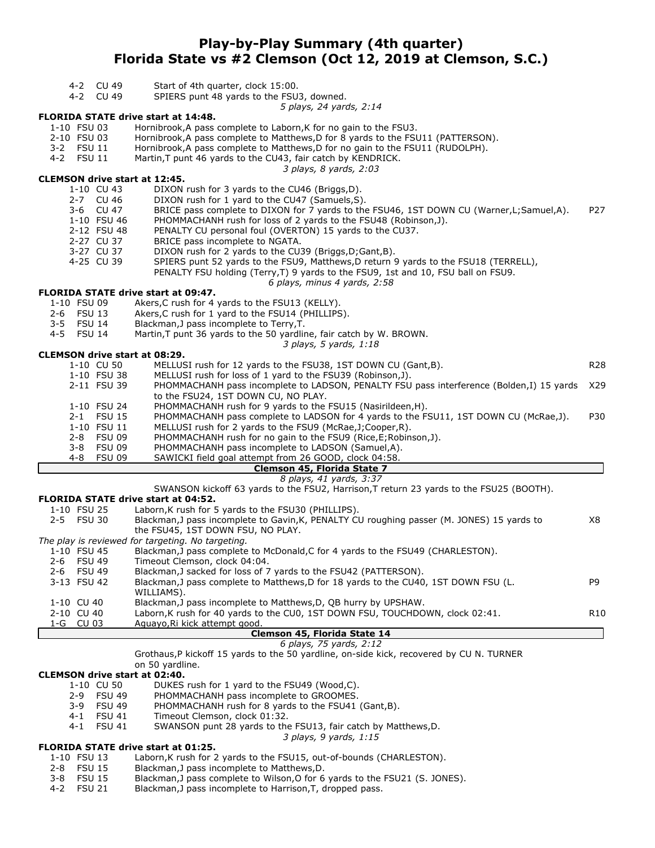# Play-by-Play Summary (4th quarter) Florida State vs #2 Clemson (Oct 12, 2019 at Clemson, S.C.)

- 4-2 CU 49 Start of 4th quarter, clock 15:00.<br>4-2 CU 49 SPIERS punt 48 vards to the FSU
- SPIERS punt 48 vards to the FSU3, downed.

5 plays, 24 yards, 2:14

#### FLORIDA STATE drive start at 14:48.

- 1-10 FSU 03 Hornibrook,A pass complete to Laborn,K for no gain to the FSU3.
- 2-10 FSU 03 Hornibrook,A pass complete to Matthews,D for 8 yards to the FSU11 (PATTERSON).<br>3-2 FSU 11 Hornibrook,A pass complete to Matthews,D for no gain to the FSU11 (RUDOLPH).
- 3-2 FSU 11 Hornibrook,A pass complete to Matthews,D for no gain to the FSU11 (RUDOLPH).<br>4-2 FSU 11 Martin,T punt 46 yards to the CU43, fair catch by KENDRICK.
	- Martin,T punt 46 yards to the CU43, fair catch by KENDRICK.

3 plays, 8 yards, 2:03

#### CLEMSON drive start at 12:45.

- 1-10 CU 43 DIXON rush for 3 yards to the CU46 (Briggs,D).
- 2-7 CU 46 DIXON rush for 1 yard to the CU47 (Samuels, S).<br>3-6 CU 47 BRICE pass complete to DIXON for 7 yards to the
	- BRICE pass complete to DIXON for 7 yards to the FSU46, 1ST DOWN CU (Warner,L;Samuel,A). P27
	-
- 1-10 FSU 46 PHOMMACHANH rush for loss of 2 yards to the FSU48 (Robinson,J).<br>2-12 FSU 48 PENALTY CU personal foul (OVERTON) 15 vards to the CU37. 2-12 FSU 48 PENALTY CU personal foul (OVERTON) 15 yards to the CU37.<br>2-27 CU 37 BRICE pass incomplete to NGATA.
- BRICE pass incomplete to NGATA.
- 3-27 CU 37 DIXON rush for 2 yards to the CU39 (Briggs,D;Gant,B).
- 4-25 CU 39 SPIERS punt 52 yards to the FSU9, Matthews,D return 9 yards to the FSU18 (TERRELL),
	- PENALTY FSU holding (Terry, T) 9 yards to the FSU9, 1st and 10, FSU ball on FSU9.

#### 6 plays, minus 4 yards, 2:58

#### FLORIDA STATE drive start at 09:47.

- 1-10 FSU 09 Akers,C rush for 4 yards to the FSU13 (KELLY).
- 2-6 FSU 13 Akers, C rush for 1 yard to the FSU14 (PHILLIPS).<br>3-5 FSU 14 Blackman. I pass incomplete to Terry T
- 
- 3-5 FSU 14 Blackman, J pass incomplete to Terry, T.<br>4-5 FSU 14 Martin, T punt 36 vards to the 50 vardlin Martin, T punt 36 yards to the 50 yardline, fair catch by W. BROWN.
	- 3 plays, 5 yards, 1:18

#### CLEMSON drive start at 08:29

|  | 1-10 CU 50  | MELLUSI rush for 12 yards to the FSU38, 1ST DOWN CU (Gant, B).                               | R <sub>28</sub> |
|--|-------------|----------------------------------------------------------------------------------------------|-----------------|
|  | 1-10 FSU 38 | MELLUSI rush for loss of 1 yard to the FSU39 (Robinson, J).                                  |                 |
|  | 2-11 FSU 39 | PHOMMACHANH pass incomplete to LADSON, PENALTY FSU pass interference (Bolden,I) 15 yards X29 |                 |
|  |             | to the FSU24, 1ST DOWN CU, NO PLAY.                                                          |                 |
|  | 1-10 FSU 24 | PHOMMACHANH rush for 9 yards to the FSU15 (Nasirildeen, H).                                  |                 |
|  | 2-1 FSU 15  | PHOMMACHANH pass complete to LADSON for 4 yards to the FSU11, 1ST DOWN CU (McRae,J).         | P30             |
|  | 1-10 FSU 11 | MELLUSI rush for 2 yards to the FSU9 (McRae, J; Cooper, R).                                  |                 |
|  | 2-8 FSU 09  | PHOMMACHANH rush for no gain to the FSU9 (Rice, E; Robinson, J).                             |                 |
|  | 3-8 FSU 09  | PHOMMACHANH pass incomplete to LADSON (Samuel,A).                                            |                 |
|  | 4-8 FSU 09  | SAWICKI field goal attempt from 26 GOOD, clock 04:58.                                        |                 |
|  |             |                                                                                              |                 |

#### Clemson 45, Florida State 7 8 plays, 41 yards, 3:37

SWANSON kickoff 63 yards to the FSU2, Harrison,T return 23 yards to the FSU25 (BOOTH).

#### FLORIDA STATE drive start at 04:52.

1-10 FSU 25 Laborn,K rush for 5 yards to the FSU30 (PHILLIPS).

| 2-5 FSU 30  | Blackman, J pass incomplete to Gavin, K, PENALTY CU roughing passer (M. JONES) 15 yards to | X8 |
|-------------|--------------------------------------------------------------------------------------------|----|
|             | the FSU45, 1ST DOWN FSU, NO PLAY.                                                          |    |
|             | The play is reviewed for targeting. No targeting.                                          |    |
| 1-10 FSU 45 | Blackman, J pass complete to McDonald, C for 4 yards to the FSU49 (CHARLESTON).            |    |
| 2-6 FSU 49  | Timeout Clemson, clock 04:04.                                                              |    |
| 2-6 FSU 49  | Blackman, J sacked for loss of 7 yards to the FSU42 (PATTERSON).                           |    |
| 3-13 FSU 42 | Blackman, J pass complete to Matthews, D for 18 yards to the CU40, 1ST DOWN FSU (L.        | P9 |
|             | WILLIAMS).                                                                                 |    |
| 1-10 CU 40  | Blackman, J pass incomplete to Matthews, D, QB hurry by UPSHAW.                            |    |
|             |                                                                                            |    |

| 1-G CU 03  | Aguayo, Ri kick attempt good.                                                 |     |
|------------|-------------------------------------------------------------------------------|-----|
| 2-10 CU 40 | Laborn, K rush for 40 yards to the CU0, 1ST DOWN FSU, TOUCHDOWN, clock 02:41. | R10 |

#### Clemson 45, Florida State 14 6 plays, 75 yards, 2:12

Grothaus,P kickoff 15 yards to the 50 yardline, on-side kick, recovered by CU N. TURNER on 50 yardline.

**CLEMSON drive start at 02:40.**<br>1-10 CU 50 DUKES DUKES rush for 1 yard to the FSU49 (Wood,C). 2-9 FSU 49 PHOMMACHANH pass incomplete to GROOMES. 3-9 FSU 49 PHOMMACHANH rush for 8 yards to the FSU41 (Gant,B). 4-1 FSU 41 Timeout Clemson, clock 01:32. 4-1 FSU 41 SWANSON punt 28 yards to the FSU13, fair catch by Matthews,D.

3 plays, 9 yards, 1:15

#### FLORIDA STATE drive start at 01:25.

- 1-10 FSU 13 Laborn,K rush for 2 yards to the FSU15, out-of-bounds (CHARLESTON).
- 2-8 FSU 15 Blackman, J pass incomplete to Matthews, D.<br>2-8 FSU 15 Blackman. J pass complete to Wilson. O for 6
- 3-8 FSU 15 Blackman,J pass complete to Wilson,O for 6 yards to the FSU21 (S. JONES).<br>4-2 FSU 21 Blackman,J pass incomplete to Harrison,T, dropped pass.
- Blackman,J pass incomplete to Harrison,T, dropped pass.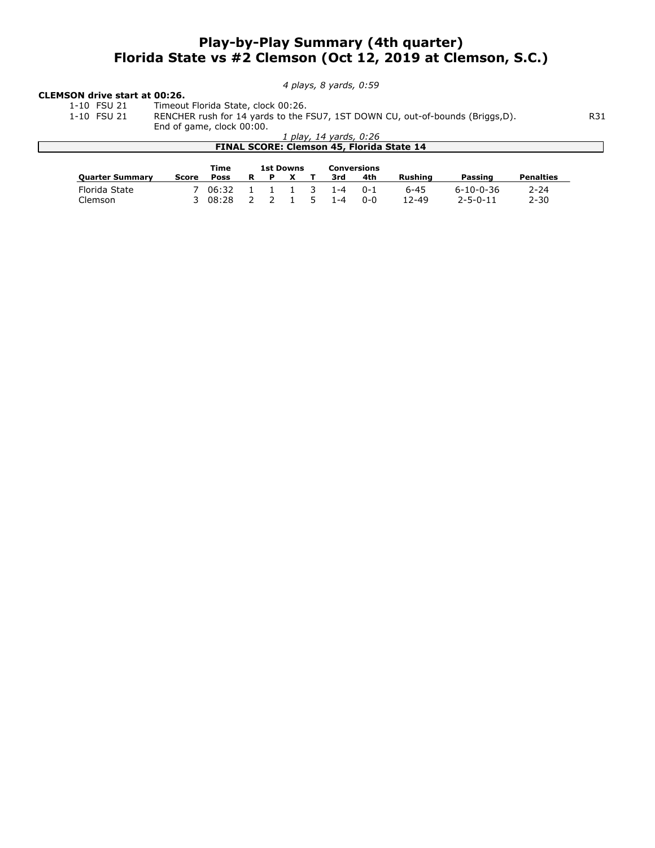# Play-by-Play Summary (4th quarter) Florida State vs #2 Clemson (Oct 12, 2019 at Clemson, S.C.)

4 plays, 8 yards, 0:59

# **CLEMSON drive start at 00:26.**<br>1-10 FSU 21 Timeout

1-10 FSU 21 Timeout Florida State, clock 00:26.<br>1-10 FSU 21 RENCHER rush for 14 yards to the F 1-10 FSU 21 RENCHER rush for 14 yards to the FSU7, 1ST DOWN CU, out-of-bounds (Briggs,D). R31

End of game, clock 00:00.

|                        | End of game, clock 00:00. |             |   |   |                  |                        |         |                                                  |                   |                  |
|------------------------|---------------------------|-------------|---|---|------------------|------------------------|---------|--------------------------------------------------|-------------------|------------------|
|                        |                           |             |   |   |                  | 1 play, 14 yards, 0:26 |         |                                                  |                   |                  |
|                        |                           |             |   |   |                  |                        |         | <b>FINAL SCORE: Clemson 45, Florida State 14</b> |                   |                  |
|                        |                           |             |   |   |                  |                        |         |                                                  |                   |                  |
|                        |                           |             |   |   |                  |                        |         |                                                  |                   |                  |
|                        |                           | Time        |   |   | <b>1st Downs</b> | Conversions            |         |                                                  |                   |                  |
| <b>Quarter Summary</b> | Score                     | <b>Poss</b> | R | P |                  | 3rd                    | 4th     | Rushing                                          | Passing           | <b>Penalties</b> |
| Florida State          |                           | 06:32       |   |   |                  | 1-4                    | $0 - 1$ | $6 - 45$                                         | $6 - 10 - 0 - 36$ | $2 - 24$         |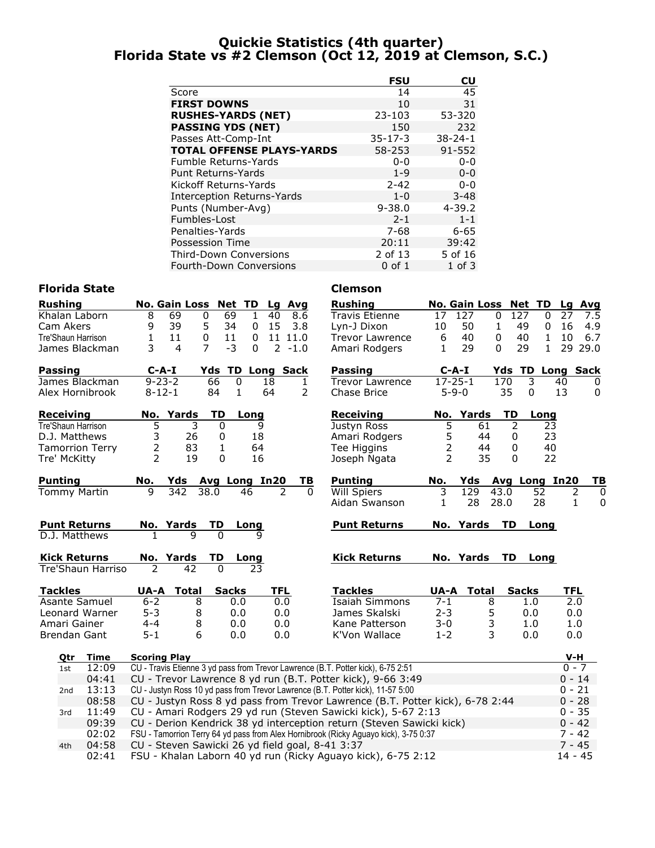# Quickie Statistics (4th quarter) Florida State vs #2 Clemson (Oct 12, 2019 at Clemson, S.C.)

|                                   | FSU           | $\mathsf{c}\mathsf{u}$ |
|-----------------------------------|---------------|------------------------|
| Score                             | 14            | 45                     |
| <b>FIRST DOWNS</b>                | 10            | 31                     |
| <b>RUSHES-YARDS (NET)</b>         | $23 - 103$    | 53-320                 |
| <b>PASSING YDS (NET)</b>          | 150           | 232                    |
| Passes Att-Comp-Int               | $35 - 17 - 3$ | $38 - 24 - 1$          |
| <b>TOTAL OFFENSE PLAYS-YARDS</b>  | 58-253        | 91-552                 |
| Fumble Returns-Yards              | $0 - 0$       | $0 - 0$                |
| <b>Punt Returns-Yards</b>         | $1 - 9$       | $0 - 0$                |
| Kickoff Returns-Yards             | $2 - 42$      | $0 - 0$                |
| <b>Interception Returns-Yards</b> | $1 - 0$       | $3 - 48$               |
| Punts (Number-Avg)                | $9 - 38.0$    | $4 - 39.2$             |
| Fumbles-Lost                      | $2 - 1$       | $1 - 1$                |
| Penalties-Yards                   | 7-68          | $6 - 65$               |
| Possession Time                   | 20:11         | 39:42                  |
| <b>Third-Down Conversions</b>     | 2 of 13       | 5 of 16                |
| <b>Fourth-Down Conversions</b>    | $0$ of $1$    | $1$ of $3$             |

# Florida State **Clemson**

| Rushing                  |                          | No. Gain Loss Net TD     |                         | Lg         | Avg       | <b>Rushing</b>                                                                       |                | <b>No. Gain Loss</b> |                       | Net TD           | Lg           | Avg         |
|--------------------------|--------------------------|--------------------------|-------------------------|------------|-----------|--------------------------------------------------------------------------------------|----------------|----------------------|-----------------------|------------------|--------------|-------------|
| Khalan Laborn            | 8                        | 69<br>$\mathbf 0$        | 69<br>$\mathbf{1}$      | 40         | 8.6       | <b>Travis Etienne</b>                                                                | 17             | 127                  | $\overline{127}$<br>0 | $\Omega$         | 27           | 7.5         |
| Cam Akers                | 9                        | 39<br>5                  | 34<br>0                 | 15         | 3.8       | Lyn-J Dixon                                                                          | 10             | 50                   | $\mathbf{1}$<br>49    | 0                | 16           | 4.9         |
| Tre'Shaun Harrison       | 1                        | 11<br>0                  | 11<br>0                 |            | 11 11.0   | <b>Trevor Lawrence</b>                                                               | 6              | 40                   | 0<br>40               | $\mathbf{1}$     | 10           | 6.7         |
| James Blackman           | 3                        | $\overline{7}$<br>4      | $-3$<br>0               |            | $2 - 1.0$ | Amari Rodgers                                                                        | 1              | 29                   | 29<br>0               | $\mathbf{1}$     | 29 29.0      |             |
| Passing                  | $C-A-I$                  |                          | <b>Yds TD Long Sack</b> |            |           | Passing                                                                              | $C-A-I$        |                      |                       | Yds TD Long Sack |              |             |
| James Blackman           | $9 - 23 - 2$             |                          | 66<br>0                 | 18         | 1         | <b>Trevor Lawrence</b>                                                               | $17 - 25 - 1$  |                      | 170                   | 3                | 40           | 0           |
| Alex Hornibrook          | $8 - 12 - 1$             |                          | 84<br>1                 | 64         | 2         | Chase Brice                                                                          | $5 - 9 - 0$    |                      | 35                    | 0                | 13           | 0           |
| Receiving                |                          | No. Yards                | TD<br>Long              |            |           | <b>Receiving</b>                                                                     |                | No. Yards            | TD                    | Long             |              |             |
| Tre'Shaun Harrison       | 5                        | 3                        | 0                       | 9          |           | Justyn Ross                                                                          | 5              | 61                   | 2                     | 23               |              |             |
| D.J. Matthews            | 3                        | 26                       | 0                       | 18         |           | Amari Rodgers                                                                        | 5              | 44                   | 0                     | 23               |              |             |
| <b>Tamorrion Terry</b>   | $\overline{2}$           | 83                       | 1                       | 64         |           | Tee Higgins                                                                          | $\overline{c}$ | 44                   | $\mathbf{0}$          | 40               |              |             |
| Tre' McKitty             | $\mathcal{P}$            | 19                       | 0                       | 16         |           | Joseph Ngata                                                                         | $\overline{2}$ | 35                   | 0                     | 22               |              |             |
| Punting                  | No.                      | Yds Avg Long In20        |                         |            | TВ        | <b>Punting</b>                                                                       | No.            | Yds                  |                       | Avg Long In20    |              | <u>ТВ</u>   |
| Tommy Martin             | $\mathsf{q}$             | $\overline{342}$<br>38.0 | 46                      | 2          | 0         | Will Spiers                                                                          | 3              | 129                  | 43.0                  | 52               | 2            | $\mathbf 0$ |
|                          |                          |                          |                         |            |           | Aidan Swanson                                                                        | 1              | 28                   | 28.0                  | 28               | $\mathbf{1}$ | 0           |
| <b>Punt Returns</b>      |                          | No. Yards                | TD<br>Long              |            |           | <b>Punt Returns</b>                                                                  |                | No. Yards            | <b>TD</b>             | Long             |              |             |
| D.J. Matthews            |                          |                          |                         |            |           |                                                                                      |                |                      |                       |                  |              |             |
| <b>Kick Returns</b>      |                          | No. Yards                | TD<br><u>Long</u>       |            |           | <b>Kick Returns</b>                                                                  |                | No. Yards            | TD                    | Long             |              |             |
| Tre'Shaun Harriso        | $\overline{\phantom{a}}$ | 42                       | $\Omega$<br>23          |            |           |                                                                                      |                |                      |                       |                  |              |             |
| <b>Tackles</b>           | UA-A                     | <b>Total</b>             | <b>Sacks</b>            | <b>TFL</b> |           | <b>Tackles</b>                                                                       | UA-A           | <b>Total</b>         | <b>Sacks</b>          |                  | <b>TFL</b>   |             |
| Asante Samuel            | $6 - 2$                  | 8                        | 0.0                     | 0.0        |           | <b>Isaiah Simmons</b>                                                                | $7 - 1$        | 8                    |                       | 1.0              | 2.0          |             |
| Leonard Warner           | $5 - 3$                  | 8                        | 0.0                     | 0.0        |           | James Skalski                                                                        | $2 - 3$        | 5                    |                       | 0.0              | 0.0          |             |
| Amari Gainer             | $4 - 4$                  | 8                        | 0.0                     | 0.0        |           | Kane Patterson                                                                       | $3 - 0$        | 3                    |                       | 1.0              | 1.0          |             |
| <b>Brendan Gant</b>      | $5 - 1$                  | 6                        | 0.0                     | 0.0        |           | K'Von Wallace                                                                        | $1 - 2$        | 3                    |                       | 0.0              | 0.0          |             |
| Time<br>Qtr              | <b>Scoring Play</b>      |                          |                         |            |           |                                                                                      |                |                      |                       |                  | V-H          |             |
| 12:09<br>1st             |                          |                          |                         |            |           | CU - Travis Etienne 3 yd pass from Trevor Lawrence (B.T. Potter kick), 6-75 2:51     |                |                      |                       |                  | $0 - 7$      |             |
| 04:41                    |                          |                          |                         |            |           | CU - Trevor Lawrence 8 yd run (B.T. Potter kick), 9-66 3:49                          |                |                      |                       |                  | $0 - 14$     |             |
| 13:13<br>2 <sub>nd</sub> |                          |                          |                         |            |           | CU - Justyn Ross 10 yd pass from Trevor Lawrence (B.T. Potter kick), 11-57 5:00      |                |                      |                       |                  | $0 - 21$     |             |
| 08:58                    |                          |                          |                         |            |           | CU - Justyn Ross 8 yd pass from Trevor Lawrence (B.T. Potter kick), 6-78 2:44        |                |                      |                       |                  | $0 - 28$     |             |
| 11:49<br>3rd             |                          |                          |                         |            |           | CU - Amari Rodgers 29 yd run (Steven Sawicki kick), 5-67 2:13                        |                |                      |                       |                  | $0 - 35$     |             |
| 09:39                    |                          |                          |                         |            |           | CU - Derion Kendrick 38 yd interception return (Steven Sawicki kick)                 |                |                      |                       |                  | $0 - 42$     |             |
| 02:02                    |                          |                          |                         |            |           | FSU - Tamorrion Terry 64 yd pass from Alex Hornibrook (Ricky Aguayo kick), 3-75 0:37 |                |                      |                       |                  | $7 - 42$     |             |
| 04:58<br>4th             |                          |                          |                         |            |           | CU - Steven Sawicki 26 yd field goal, 8-41 3:37                                      |                |                      |                       |                  | $7 - 45$     |             |

02:41 FSU - Khalan Laborn 40 yd run (Ricky Aguayo kick), 6-75 2:12 14 - 45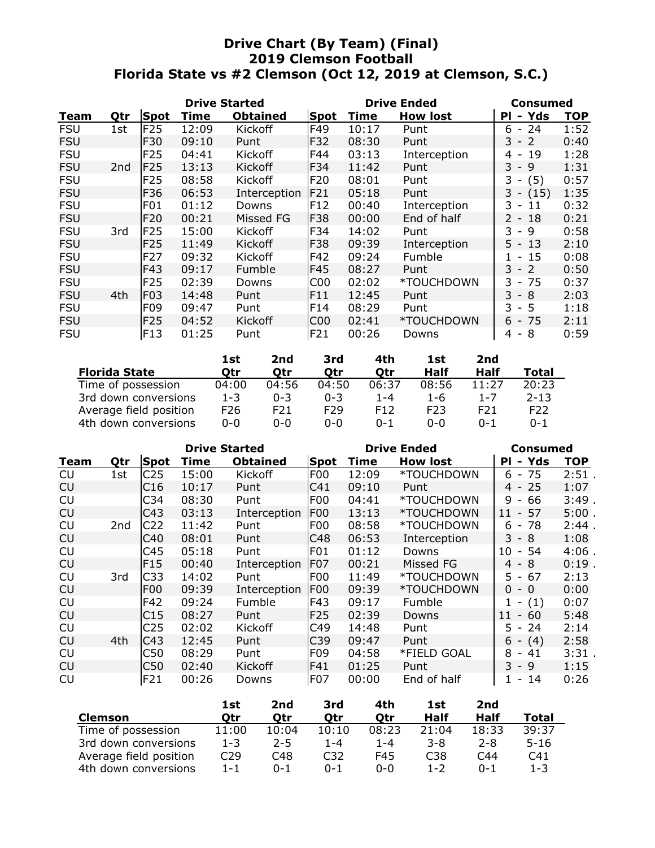# Drive Chart (By Team) (Final) 2019 Clemson Football Florida State vs #2 Clemson (Oct 12, 2019 at Clemson, S.C.)

|            |                 |                 | <b>Drive Started</b> |                 |                 |       | <b>Drive Ended</b> | Consumed                              |            |
|------------|-----------------|-----------------|----------------------|-----------------|-----------------|-------|--------------------|---------------------------------------|------------|
| Team       | Qtr             | <b>Spot</b>     | Time                 | <b>Obtained</b> | Spot            | Time  | <b>How lost</b>    | - Yds<br>ΡI                           | <b>TOP</b> |
| <b>FSU</b> | 1st             | <b>F25</b>      | 12:09                | Kickoff         | F49             | 10:17 | Punt               | $-24$<br>6.                           | 1:52       |
| <b>FSU</b> |                 | F30             | 09:10                | Punt            | F32             | 08:30 | Punt               | 3 - 2                                 | 0:40       |
| <b>FSU</b> |                 | F <sub>25</sub> | 04:41                | <b>Kickoff</b>  | F44             | 03:13 | Interception       | 19<br>4<br>$\overline{\phantom{a}}$   | 1:28       |
| <b>FSU</b> | 2 <sub>nd</sub> | <b>F25</b>      | 13:13                | <b>Kickoff</b>  | F34             | 11:42 | Punt               | 3 - 9                                 | 1:31       |
| <b>FSU</b> |                 | F <sub>25</sub> | 08:58                | Kickoff         | <b>F20</b>      | 08:01 | Punt               | 3.<br>(5)<br>$\overline{\phantom{a}}$ | 0:57       |
| <b>FSU</b> |                 | F36             | 06:53                | Interception    | F21             | 05:18 | Punt               | $3 - (15)$                            | 1:35       |
| <b>FSU</b> |                 | F <sub>01</sub> | 01:12                | Downs           | F12             | 00:40 | Interception       | 3.<br>11<br>$\overline{\phantom{a}}$  | 0:32       |
| <b>FSU</b> |                 | F20             | 00:21                | Missed FG       | <b>F38</b>      | 00:00 | End of half        | 2 - 18                                | 0:21       |
| <b>FSU</b> | 3rd             | <b>F25</b>      | 15:00                | <b>Kickoff</b>  | F34             | 14:02 | Punt               | 3.<br>-9<br>$\sim$                    | 0:58       |
| <b>FSU</b> |                 | F <sub>25</sub> | 11:49                | <b>Kickoff</b>  | <b>F38</b>      | 09:39 | Interception       | 5 - 13                                | 2:10       |
| <b>FSU</b> |                 | F27             | 09:32                | Kickoff         | F42             | 09:24 | Fumble             | 15<br>$\sim$                          | 0:08       |
| <b>FSU</b> |                 | F43             | 09:17                | Fumble          | F45             | 08:27 | Punt               | 3 - 2                                 | 0:50       |
| <b>FSU</b> |                 | F <sub>25</sub> | 02:39                | Downs           | C <sub>0</sub>  | 02:02 | *TOUCHDOWN         | - 75<br>3.                            | 0:37       |
| <b>FSU</b> | 4th             | F <sub>03</sub> | 14:48                | Punt            | F11             | 12:45 | Punt               | 3 - 8                                 | 2:03       |
| <b>FSU</b> |                 | F <sub>09</sub> | 09:47                | Punt            | F14             | 08:29 | Punt               | $-5$<br>3                             | 1:18       |
| <b>FSU</b> |                 | <b>F25</b>      | 04:52                | Kickoff         | C <sub>00</sub> | 02:41 | *TOUCHDOWN         | $6 - 75$                              | 2:11       |
| <b>FSU</b> |                 | F13             | 01:25                | Punt            | F21             | 00:26 | Downs              | 8<br>4<br>$\overline{\phantom{a}}$    | 0:59       |

|                        | 1st     | 2nd     | 3rd             | 4th             | <b>1st</b>       | 2nd     |                 |
|------------------------|---------|---------|-----------------|-----------------|------------------|---------|-----------------|
| <b>Florida State</b>   | Otr     | Otr     | Otr             | Otr             | Half             | Half    | Total           |
| Time of possession     | 04:00   | 04:56   | 04:50           | 06:37           | 08:56            | 11:27   | 20:23           |
| 3rd down conversions   | $1 - 3$ | $0 - 3$ | $0 - 3$         | $1 - 4$         | 1-6              | $1 - 7$ | $2 - 13$        |
| Average field position | F26     | F21     | F <sub>29</sub> | F <sub>12</sub> | F <sub>2</sub> 3 | F21     | F <sub>22</sub> |
| 4th down conversions   | ი-ი     | 0-0     | 0-0             | $0 - 1$         | $0 - 0$          | $0 - 1$ | $0 - 1$         |

|           |     |                 | <b>Drive Started</b> |                 |                  | <b>Drive Ended</b> | <b>Consumed</b> |                                     |            |
|-----------|-----|-----------------|----------------------|-----------------|------------------|--------------------|-----------------|-------------------------------------|------------|
| Team      | Qtr | Spot            | Time                 | <b>Obtained</b> | Spot             | Time               | <b>How lost</b> | PI - Yds                            | <b>TOP</b> |
| CU        | 1st | C <sub>25</sub> | 15:00                | Kickoff         | F <sub>0</sub> 0 | 12:09              | *TOUCHDOWN      | $6 - 75$                            | 2:51       |
| <b>CU</b> |     | C16             | 10:17                | Punt            | C <sub>41</sub>  | 09:10              | Punt            | $4 - 25$                            | 1:07       |
| CU        |     | C34             | 08:30                | Punt            | F <sub>0</sub> 0 | 04:41              | *TOUCHDOWN      | 9<br>66<br>$\sim$                   | 3:49.      |
| <b>CU</b> |     | C43             | 03:13                | Interception    | F <sub>00</sub>  | 13:13              | *TOUCHDOWN      | 57<br>11<br>$\sim$                  | 5:00.      |
| <b>CU</b> | 2nd | C <sub>22</sub> | 11:42                | Punt            | F <sub>00</sub>  | 08:58              | *TOUCHDOWN      | 6<br>78<br>$\overline{\phantom{a}}$ | 2:44.      |
| CU        |     | C40             | 08:01                | Punt            | C48              | 06:53              | Interception    | $3 - 8$                             | 1:08       |
| <b>CU</b> |     | C45             | 05:18                | Punt            | F <sub>01</sub>  | 01:12              | Downs           | 10<br>54<br>$\sim$                  | $4:06$ .   |
| <b>CU</b> |     | F <sub>15</sub> | 00:40                | Interception    | <b>F07</b>       | 00:21              | Missed FG       | 4<br>- 8                            | $0:19$ .   |
| <b>CU</b> | 3rd | C <sub>33</sub> | 14:02                | Punt            | F <sub>00</sub>  | 11:49              | *TOUCHDOWN      | 67<br>5.<br>$\sim$                  | 2:13       |
| <b>CU</b> |     | <b>F00</b>      | 09:39                | Interception    | F <sub>00</sub>  | 09:39              | *TOUCHDOWN      | 0<br>- 0                            | 0:00       |
| <b>CU</b> |     | F42             | 09:24                | Fumble          | <b>F43</b>       | 09:17              | Fumble          | (1)<br>$\overline{\phantom{a}}$     | 0:07       |
| CU        |     | C15             | 08:27                | Punt            | F <sub>25</sub>  | 02:39              | Downs           | $-60$<br>11                         | 5:48       |
| CU        |     | C25             | 02:02                | Kickoff         | C49              | 14:48              | Punt            | 24<br>5 -                           | 2:14       |
| CU        | 4th | C43             | 12:45                | Punt            | C39              | 09:47              | Punt            | (4)<br>6<br>$\sim$                  | 2:58       |
| CU        |     | C50             | 08:29                | Punt            | F <sub>09</sub>  | 04:58              | *FIELD GOAL     | 8<br>41<br>$\overline{\phantom{a}}$ | 3:31       |
| <b>CU</b> |     | C50             | 02:40                | Kickoff         | F41              | 01:25              | Punt            | 3 - 9                               | 1:15       |
| CU        |     | F21             | 00:26                | Downs           | <b>F07</b>       | 00:00              | End of half     | 14<br>$\overline{\phantom{a}}$      | 0:26       |

|                        | 1st             | 2nd     | 3rd   | 4th     | <b>1st</b>      | 2nd     |                 |
|------------------------|-----------------|---------|-------|---------|-----------------|---------|-----------------|
| <b>Clemson</b>         | Otr             | Otr     | Otr   | Otr     | Half            | Half    | Total           |
| Time of possession     | 11:00           | 10:04   | 10:10 | 08:23   | 21:04           | 18:33   | 39:37           |
| 3rd down conversions   | $1 - 3$         | $2 - 5$ | 1-4   | $1 - 4$ | 3-8             | $2 - 8$ | $5 - 16$        |
| Average field position | C <sub>29</sub> | C48     | C32   | F45     | C <sub>38</sub> | C44     | C <sub>41</sub> |
| 4th down conversions   | $1 - 1$         | N-1     | N-1   | $0 - 0$ | $1 - 2$         | $0 - 1$ | $1 - 3$         |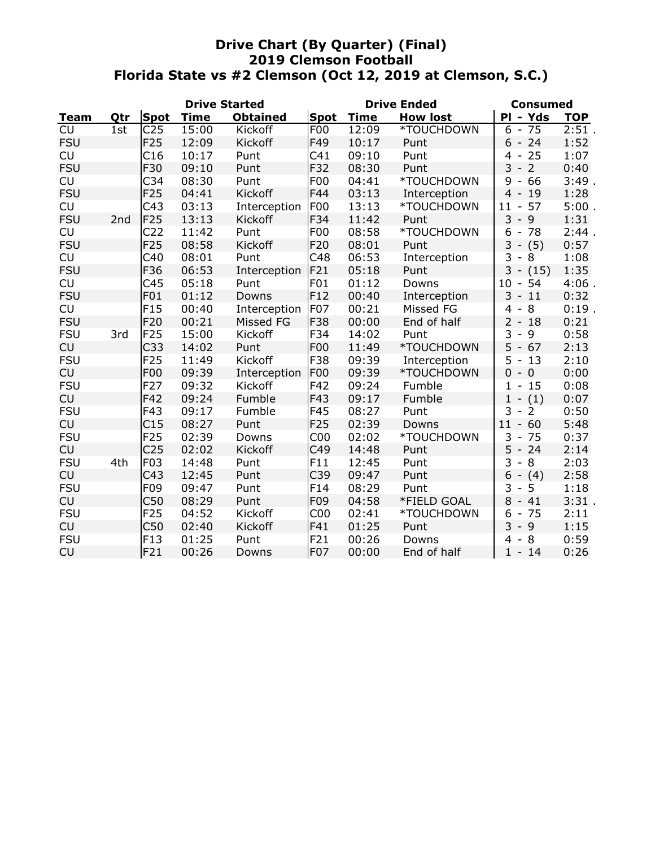# Drive Chart (By Quarter) (Final) 2019 Clemson Football Florida State vs #2 Clemson (Oct 12, 2019 at Clemson, S.C.)

|            |     | <b>Drive Started</b> |             |                 |                 | <b>Drive Ended</b> | <b>Consumed</b> |                                      |            |
|------------|-----|----------------------|-------------|-----------------|-----------------|--------------------|-----------------|--------------------------------------|------------|
| Team       | Qtr | <b>Spot</b>          | <b>Time</b> | <b>Obtained</b> | <b>Spot</b>     | <b>Time</b>        | <b>How lost</b> | PI - Yds                             | <b>TOP</b> |
| <b>CU</b>  | 1st | C <sub>25</sub>      | 15:00       | Kickoff         | F <sub>0</sub>  | 12:09              | *TOUCHDOWN      | $6 - 75$                             | 2:51.      |
| <b>FSU</b> |     | F25                  | 12:09       | Kickoff         | F49             | 10:17              | Punt            | $6 - 24$                             | 1:52       |
| <b>CU</b>  |     | C16                  | 10:17       | Punt            | C41             | 09:10              | Punt            | $4 - 25$                             | 1:07       |
| <b>FSU</b> |     | F30                  | 09:10       | Punt            | F32             | 08:30              | Punt            | 3<br>$-2$                            | 0:40       |
| <b>CU</b>  |     | C <sub>34</sub>      | 08:30       | Punt            | F <sub>0</sub>  | 04:41              | *TOUCHDOWN      | $9 - 66$                             | 3:49.      |
| <b>FSU</b> |     | F25                  | 04:41       | Kickoff         | F44             | 03:13              | Interception    | $4 - 19$                             | 1:28       |
| <b>CU</b>  |     | C43                  | 03:13       | Interception    | F <sub>00</sub> | 13:13              | *TOUCHDOWN      | $11 -$<br>57                         | 5:00.      |
| <b>FSU</b> | 2nd | F25                  | 13:13       | Kickoff         | F34             | 11:42              | Punt            | $3 - 9$                              | 1:31       |
| <b>CU</b>  |     | C <sub>22</sub>      | 11:42       | Punt            | F <sub>0</sub>  | 08:58              | *TOUCHDOWN      | 6<br>$-78$                           | 2:44       |
| <b>FSU</b> |     | F <sub>25</sub>      | 08:58       | Kickoff         | F20             | 08:01              | Punt            | 3<br>(5)<br>$\overline{\phantom{a}}$ | 0:57       |
| <b>CU</b>  |     | C40                  | 08:01       | Punt            | C48             | 06:53              | Interception    | 3<br>8<br>$\overline{\phantom{a}}$   | 1:08       |
| <b>FSU</b> |     | F36                  | 06:53       | Interception    | F21             | 05:18              | Punt            | $3 - (15)$                           | 1:35       |
| <b>CU</b>  |     | C45                  | 05:18       | Punt            | F01             | 01:12              | Downs           | $10 -$<br>54                         | $4:06$ .   |
| <b>FSU</b> |     | F <sub>01</sub>      | 01:12       | Downs           | F12             | 00:40              | Interception    | $3 - 11$                             | 0:32       |
| <b>CU</b>  |     | F <sub>15</sub>      | 00:40       | Interception    | <b>F07</b>      | 00:21              | Missed FG       | $4 - 8$                              | $0:19$ .   |
| <b>FSU</b> |     | F20                  | 00:21       | Missed FG       | F38             | 00:00              | End of half     | $2 - 18$                             | 0:21       |
| <b>FSU</b> | 3rd | F25                  | 15:00       | Kickoff         | F34             | 14:02              | Punt            | 3<br>9<br>$\sim$                     | 0:58       |
| CU         |     | C <sub>33</sub>      | 14:02       | Punt            | <b>F00</b>      | 11:49              | *TOUCHDOWN      | $5 - 67$                             | 2:13       |
| <b>FSU</b> |     | F25                  | 11:49       | Kickoff         | F38             | 09:39              | Interception    | $5 - 13$                             | 2:10       |
| CU         |     | F00                  | 09:39       | Interception    | F <sub>00</sub> | 09:39              | *TOUCHDOWN      | $0 - 0$                              | 0:00       |
| <b>FSU</b> |     | F27                  | 09:32       | Kickoff         | F42             | 09:24              | Fumble          | $1 - 15$                             | 0:08       |
| CU         |     | F42                  | 09:24       | Fumble          | F43             | 09:17              | Fumble          | (1)<br>$1 -$                         | 0:07       |
| <b>FSU</b> |     | F43                  | 09:17       | Fumble          | F45             | 08:27              | Punt            | 3<br>2<br>$\overline{\phantom{a}}$   | 0:50       |
| CU         |     | C15                  | 08:27       | Punt            | F25             | 02:39              | Downs           | 60<br>$11 -$                         | 5:48       |
| <b>FSU</b> |     | F25                  | 02:39       | Downs           | C <sub>00</sub> | 02:02              | *TOUCHDOWN      | 3<br>75<br>$\overline{\phantom{a}}$  | 0:37       |
| <b>CU</b>  |     | C <sub>25</sub>      | 02:02       | Kickoff         | C49             | 14:48              | Punt            | $5 - 24$                             | 2:14       |
| <b>FSU</b> | 4th | F03                  | 14:48       | Punt            | F11             | 12:45              | Punt            | 3<br>8<br>$\overline{\phantom{a}}$   | 2:03       |
| <b>CU</b>  |     | C43                  | 12:45       | Punt            | C39             | 09:47              | Punt            | $6 - (4)$                            | 2:58       |
| <b>FSU</b> |     | F09                  | 09:47       | Punt            | F14             | 08:29              | Punt            | 3<br>-5<br>$\blacksquare$            | 1:18       |
| <b>CU</b>  |     | C50                  | 08:29       | Punt            | F09             | 04:58              | *FIELD GOAL     | $8 - 41$                             | 3:31.      |
| <b>FSU</b> |     | F25                  | 04:52       | Kickoff         | C <sub>00</sub> | 02:41              | *TOUCHDOWN      | $-75$<br>6                           | 2:11       |
| CU         |     | C50                  | 02:40       | Kickoff         | F41             | 01:25              | Punt            | $3 - 9$                              | 1:15       |
| <b>FSU</b> |     | F13                  | 01:25       | Punt            | F21             | 00:26              | Downs           | 8<br>4<br>$\sim$                     | 0:59       |
| <b>CU</b>  |     | F21                  | 00:26       | Downs           | F07             | 00:00              | End of half     | $1 - 14$                             | 0:26       |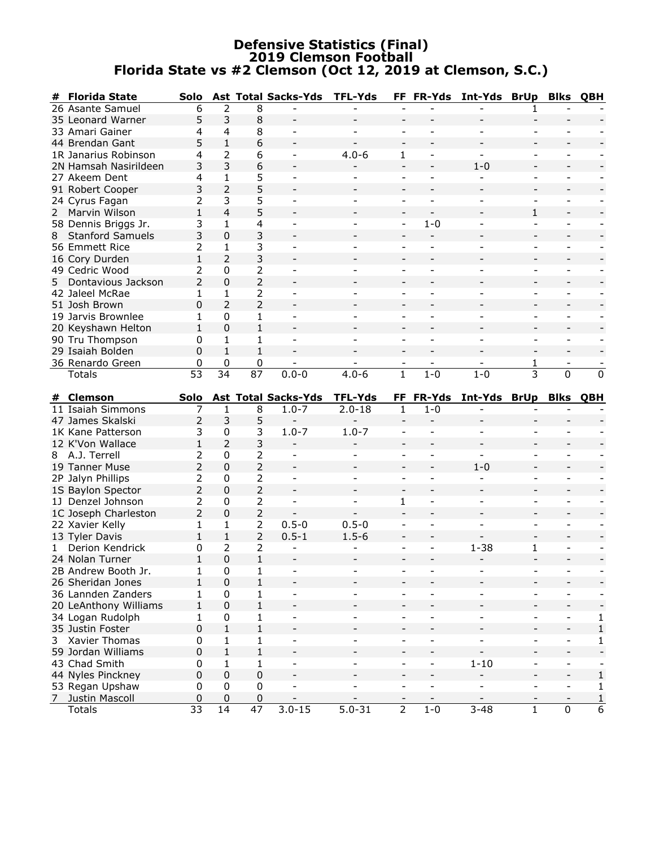# Defensive Statistics (Final) 2019 Clemson Football Florida State vs #2 Clemson (Oct 12, 2019 at Clemson, S.C.)

| #  | <b>Florida State</b>                     | Solo            |                   |                               | <b>Ast Total Sacks-Yds</b> | <b>TFL-Yds</b>           |                          |                              | FF FR-Yds Int-Yds BrUp               |                          | <b>Blks</b>              | QBH               |
|----|------------------------------------------|-----------------|-------------------|-------------------------------|----------------------------|--------------------------|--------------------------|------------------------------|--------------------------------------|--------------------------|--------------------------|-------------------|
|    | 26 Asante Samuel                         | 6               | 2                 | 8                             |                            |                          |                          |                              |                                      |                          |                          |                   |
|    | 35 Leonard Warner                        | 5               | 3                 | 8                             | $\overline{\phantom{a}}$   |                          |                          |                              |                                      |                          |                          |                   |
|    | 33 Amari Gainer                          | 4               | 4                 | 8                             | $\overline{\phantom{a}}$   |                          | $\blacksquare$           |                              |                                      |                          |                          |                   |
|    | 44 Brendan Gant                          | 5               | $\mathbf{1}$      | 6                             |                            |                          |                          |                              |                                      |                          |                          |                   |
|    | 1R Janarius Robinson                     | 4               | 2                 | 6                             | $\overline{\phantom{a}}$   | $4.0 - 6$                | 1                        | $\qquad \qquad -$            | $\blacksquare$                       |                          | $\overline{\phantom{a}}$ |                   |
|    | 2N Hamsah Nasirildeen                    | 3               | 3                 | 6                             |                            |                          |                          |                              | $1 - 0$                              |                          |                          |                   |
|    | 27 Akeem Dent                            | 4               | $\mathbf{1}$      | 5                             |                            |                          |                          | $\overline{\phantom{a}}$     |                                      |                          |                          |                   |
|    | 91 Robert Cooper                         | 3               | $\overline{2}$    | 5                             |                            |                          |                          |                              |                                      |                          |                          |                   |
|    | 24 Cyrus Fagan                           | 2               | 3                 | 5                             |                            |                          | $\overline{\phantom{a}}$ | $\overline{\phantom{a}}$     |                                      | $\overline{\phantom{a}}$ | $\overline{\phantom{a}}$ |                   |
| 2  | Marvin Wilson                            | 1               | 4                 | 5                             |                            |                          |                          |                              |                                      | $\mathbf{1}$             |                          |                   |
|    | 58 Dennis Briggs Jr.                     | 3               | 1                 | $\overline{4}$                |                            |                          | $\overline{\phantom{a}}$ | $1 - 0$                      |                                      |                          | $\overline{\phantom{a}}$ |                   |
| 8  | <b>Stanford Samuels</b>                  | 3               | $\Omega$          | 3                             |                            |                          |                          |                              |                                      |                          |                          |                   |
|    | 56 Emmett Rice                           | 2               | 1                 | 3                             |                            |                          |                          |                              |                                      |                          |                          |                   |
|    | 16 Cory Durden                           | $\mathbf{1}$    | $\overline{2}$    | 3                             |                            |                          |                          |                              |                                      |                          |                          |                   |
|    | 49 Cedric Wood                           | 2               | 0                 | $\overline{2}$                | $\overline{\phantom{a}}$   |                          |                          |                              |                                      | $\overline{\phantom{0}}$ | $\overline{\phantom{a}}$ |                   |
| 5  | Dontavious Jackson                       | $\overline{2}$  | 0                 | $\overline{2}$                |                            |                          |                          |                              |                                      |                          |                          |                   |
|    | 42 Jaleel McRae                          | 1               | 1                 | 2                             |                            |                          |                          |                              |                                      |                          |                          |                   |
|    | 51 Josh Brown                            | 0               | $\mathcal{P}$     | $\overline{2}$                |                            |                          |                          |                              |                                      |                          |                          |                   |
|    | 19 Jarvis Brownlee                       | 1               | 0                 | 1                             | $\overline{\phantom{a}}$   |                          | $\overline{\phantom{a}}$ | $\overline{\phantom{a}}$     |                                      | $\overline{a}$           | $\overline{\phantom{a}}$ |                   |
|    | 20 Keyshawn Helton                       | $\mathbf{1}$    | 0                 | $\mathbf{1}$                  |                            |                          |                          |                              |                                      |                          |                          |                   |
|    | 90 Tru Thompson                          | 0               | 1                 | $\mathbf{1}$                  | $\overline{\phantom{a}}$   |                          |                          |                              |                                      |                          | $\overline{\phantom{a}}$ |                   |
|    | 29 Isaiah Bolden                         | 0               | $\mathbf{1}$      | $\mathbf{1}$                  |                            |                          |                          |                              |                                      |                          |                          |                   |
|    | 36 Renardo Green                         | 0               | 0                 | 0                             |                            |                          |                          |                              |                                      | 1                        |                          |                   |
|    | Totals                                   | $\overline{53}$ | $\overline{34}$   | $\overline{87}$               | $0.0 - 0$                  | $4.0 - 6$                | $\overline{1}$           | $1 - 0$                      | $1-0$                                | 3                        | $\overline{0}$           | $\overline{0}$    |
|    |                                          |                 |                   |                               |                            |                          |                          |                              |                                      |                          |                          |                   |
|    | # Clemson                                | Solo            |                   |                               | <b>Ast Total Sacks-Yds</b> | <b>TFL-Yds</b>           | FF.                      | <b>FR-Yds</b>                | Int-Yds BrUp                         |                          | Blks                     | <b>OBH</b>        |
|    |                                          |                 |                   |                               |                            |                          |                          |                              |                                      |                          |                          |                   |
|    | 11 Isaiah Simmons                        | 7               | 1                 | 8                             | $1.0 - 7$                  | $2.0 - 18$               | 1                        | $1 - 0$                      |                                      |                          |                          |                   |
|    | 47 James Skalski                         | 2               | 3                 | 5                             |                            |                          |                          |                              |                                      |                          |                          |                   |
|    | 1K Kane Patterson                        | 3               | 0                 | 3                             | $1.0 - 7$                  | $1.0 - 7$                | $\overline{\phantom{a}}$ | $\overline{\phantom{a}}$     |                                      | ۰                        | $\overline{\phantom{a}}$ |                   |
|    | 12 K'Von Wallace                         | $\mathbf{1}$    | 2                 | 3                             |                            |                          |                          |                              |                                      |                          |                          |                   |
|    | 8 A.J. Terrell                           | 2               | 0                 | $\overline{2}$                |                            |                          |                          |                              | $\blacksquare$                       |                          | $\overline{\phantom{a}}$ |                   |
|    | 19 Tanner Muse                           | 2               | $\Omega$          | $\overline{2}$                | $\overline{\phantom{a}}$   |                          |                          |                              | $1 - 0$                              |                          |                          |                   |
|    | 2P Jalyn Phillips                        | 2               | 0                 | 2                             | $\overline{\phantom{a}}$   | $\qquad \qquad -$        | $\overline{\phantom{a}}$ | $\overline{\phantom{a}}$     |                                      | $\overline{\phantom{0}}$ |                          |                   |
|    | 1S Baylon Spector                        | 2               | 0                 | $\overline{2}$                |                            |                          |                          |                              |                                      |                          |                          |                   |
|    | 1J Denzel Johnson                        | 2               | 0                 | $\overline{2}$                | $\overline{\phantom{a}}$   |                          | 1                        | $\qquad \qquad \blacksquare$ | $\overline{\phantom{0}}$             | $\overline{\phantom{0}}$ | $\overline{\phantom{a}}$ |                   |
|    |                                          | 2               | 0                 | $\overline{2}$                |                            |                          |                          |                              |                                      |                          |                          |                   |
|    | 1C Joseph Charleston<br>22 Xavier Kelly  | 1               | 1                 | $\overline{2}$                | $0.5 - 0$                  | $0.5 - 0$                |                          | $\overline{\phantom{a}}$     |                                      |                          | $\overline{\phantom{a}}$ |                   |
|    |                                          | $\mathbf{1}$    | $\mathbf{1}$      | $\overline{2}$                | $0.5 - 1$                  | $1.5 - 6$                |                          |                              |                                      |                          |                          |                   |
| 1. | 13 Tyler Davis                           | 0               | 2                 | 2                             | $\overline{\phantom{a}}$   | $\overline{\phantom{a}}$ | $\overline{\phantom{a}}$ | $\overline{\phantom{a}}$     | $1 - 38$                             | 1                        | $\overline{\phantom{a}}$ |                   |
|    | Derion Kendrick                          | $\mathbf{1}$    | 0                 | $\mathbf{1}$                  |                            |                          |                          |                              |                                      |                          |                          |                   |
|    | 24 Nolan Turner                          |                 |                   |                               |                            |                          |                          |                              |                                      |                          |                          |                   |
|    | 2B Andrew Booth Jr.<br>26 Sheridan Jones | $\mathbf{1}$    | $\pmb{0}$<br>0    | 1<br>$\mathbf{1}$             |                            |                          |                          |                              |                                      |                          |                          |                   |
|    |                                          | $\mathbf{1}$    |                   |                               | $\overline{\phantom{a}}$   |                          |                          | $\overline{\phantom{a}}$     |                                      |                          | $\overline{\phantom{a}}$ |                   |
|    | 36 Lannden Zanders                       | 1               | 0                 | 1<br>$\mathbf{1}$             |                            |                          |                          |                              |                                      |                          |                          |                   |
|    | 20 LeAnthony Williams                    | 1               | $\mathbf 0$       |                               |                            |                          |                          |                              | $\overline{\phantom{a}}$             | $\overline{\phantom{0}}$ | $\overline{\phantom{a}}$ |                   |
|    | 34 Logan Rudolph                         | 1               | $\pmb{0}$         | 1                             |                            |                          |                          |                              |                                      |                          |                          | 1                 |
| 3  | 35 Justin Foster<br><b>Xavier Thomas</b> | 0<br>0          | $\mathbf{1}$<br>1 | $\mathbf 1$                   |                            |                          |                          |                              |                                      |                          | $\overline{\phantom{a}}$ | $\mathbf{1}$      |
|    |                                          |                 |                   | $\mathbf{1}$                  |                            |                          |                          | $\overline{\phantom{a}}$     |                                      |                          |                          | 1                 |
|    | 59 Jordan Williams                       | $\pmb{0}$<br>0  | $\mathbf{1}$<br>1 | $\mathbf{1}$<br>1             | $\overline{\phantom{a}}$   |                          |                          | $\overline{\phantom{a}}$     |                                      | -                        | $\overline{\phantom{a}}$ |                   |
|    | 43 Chad Smith                            |                 |                   |                               |                            |                          |                          | $\overline{\phantom{a}}$     | $1 - 10$<br>$\overline{\phantom{0}}$ |                          | $\blacksquare$           |                   |
|    | 44 Nyles Pinckney                        | $\pmb{0}$       | 0                 | $\boldsymbol{0}$              |                            |                          |                          | $\overline{\phantom{a}}$     | $\overline{\phantom{a}}$             |                          | $\overline{\phantom{a}}$ | 1                 |
|    | 53 Regan Upshaw<br>7 Justin Mascoll      | 0<br>$\pmb{0}$  | $\pmb{0}$<br>0    | $\boldsymbol{0}$<br>$\pmb{0}$ |                            |                          |                          | $\overline{\phantom{a}}$     |                                      |                          | $\overline{\phantom{a}}$ | 1<br>$\mathbf{1}$ |